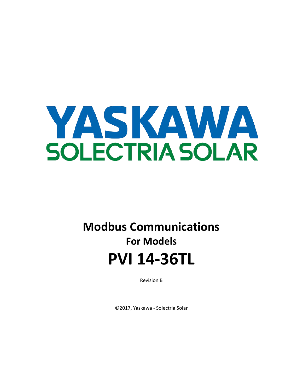

# **Modbus Communications For Models PVI 14-36TL**

Revision B

©2017, Yaskawa - Solectria Solar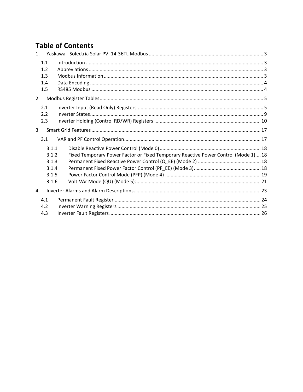# **Table of Contents**

| 1 <sup>1</sup> |                                                    |                                                                                    |  |
|----------------|----------------------------------------------------|------------------------------------------------------------------------------------|--|
|                | 1.1<br>1.2<br>1.3<br>1.4<br>1.5                    |                                                                                    |  |
| $\overline{2}$ |                                                    |                                                                                    |  |
|                | 2.1<br>2.2<br>2.3                                  |                                                                                    |  |
| $\overline{3}$ |                                                    |                                                                                    |  |
|                | 3.1                                                |                                                                                    |  |
|                | 3.1.1<br>3.1.2<br>3.1.3<br>3.1.4<br>3.1.5<br>3.1.6 | Fixed Temporary Power Factor or Fixed Temporary Reactive Power Control (Mode 1) 18 |  |
| 4              |                                                    |                                                                                    |  |
|                | 4.1<br>4.2<br>4.3                                  |                                                                                    |  |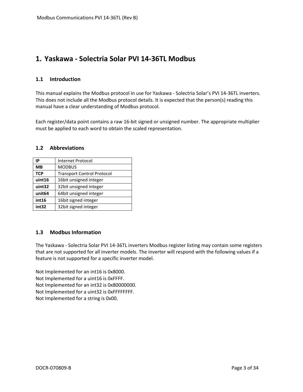# <span id="page-2-0"></span>**1. Yaskawa - Solectria Solar PVI 14-36TL Modbus**

# <span id="page-2-1"></span>**1.1 Introduction**

This manual explains the Modbus protocol in use for Yaskawa - Solectria Solar's PVI 14-36TL inverters. This does not include all the Modbus protocol details. It is expected that the person(s) reading this manual have a clear understanding of Modbus protocol.

Each register/data point contains a raw 16-bit signed or unsigned number. The appropriate multiplier must be applied to each word to obtain the scaled representation.

#### <span id="page-2-2"></span>**1.2 Abbreviations**

| IP                 | Internet Protocol                 |
|--------------------|-----------------------------------|
| <b>MB</b>          | <b>MODBUS</b>                     |
| <b>TCP</b>         | <b>Transport Control Protocol</b> |
| uint16             | 16bit unsigned integer            |
| uint32             | 32bit unsigned integer            |
| unit <sub>64</sub> | 64bit unsigned integer            |
| int16              | 16bit signed integer              |
| int32              | 32bit signed integer              |

# <span id="page-2-3"></span>**1.3 Modbus Information**

The Yaskawa - Solectria Solar PVI 14-36TL inverters Modbus register listing may contain some registers that are not supported for all inverter models. The inverter will respond with the following values if a feature is not supported for a specific inverter model.

Not Implemented for an int16 is 0x8000. Not Implemented for a uint16 is 0xFFFF. Not Implemented for an int32 is 0x80000000. Not Implemented for a uint32 is 0xFFFFFFFF. Not Implemented for a string is 0x00.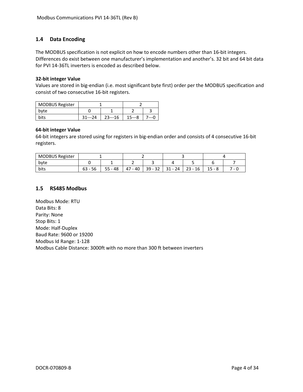# <span id="page-3-0"></span>**1.4 Data Encoding**

The MODBUS specification is not explicit on how to encode numbers other than 16-bit integers. Differences do exist between one manufacturer's implementation and another's. 32 bit and 64 bit data for PVI 14-36TL inverters is encoded as described below.

#### **32-bit integer Value**

Values are stored in big-endian (i.e. most significant byte first) order per the MODBUS specification and consist of two consecutive 16-bit registers.

| <b>MODBUS Register</b> |                 |          |  |  |  |  |
|------------------------|-----------------|----------|--|--|--|--|
| byte                   |                 |          |  |  |  |  |
| bits                   | $31--24$<br>י 1 | $23--16$ |  |  |  |  |

#### **64-bit integer Value**

64-bit integers are stored using for registers in big-endian order and consists of 4 consecutive 16-bit registers.

| <b>MODBUS Register</b> |           |            |             |           |           |                                      |         |   |  |
|------------------------|-----------|------------|-------------|-----------|-----------|--------------------------------------|---------|---|--|
| byte                   |           |            | -           |           |           |                                      |         |   |  |
| bits                   | $63 - 56$ | - 48<br>55 | 47<br>$-40$ | $39 - 32$ | $31 - 24$ | 23<br>16<br>$\overline{\phantom{0}}$ | ٥<br>-- | - |  |

#### <span id="page-3-1"></span>**1.5 RS485 Modbus**

Modbus Mode: RTU Data Bits: 8 Parity: None Stop Bits: 1 Mode: Half-Duplex Baud Rate: 9600 or 19200 Modbus Id Range: 1-128 Modbus Cable Distance: 3000ft with no more than 300 ft between inverters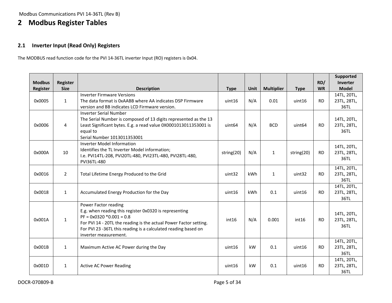Modbus Communications PVI 14-36TL (Rev B)

# **2 Modbus Register Tables**

# **2.1 Inverter Input (Read Only) Registers**

The MODBUS read function code for the PVI 14-36TL inverter Input (RO) registers is 0x04.

<span id="page-4-1"></span><span id="page-4-0"></span>

| <b>Modbus</b><br>Register | Register<br><b>Size</b> | <b>Description</b>                                                                                                                                                                                                                                                            | <b>Type</b>        | <b>Unit</b> | <b>Multiplier</b> | <b>Type</b>        | RD/<br><b>WR</b> | Supported<br>Inverter<br><b>Model</b> |
|---------------------------|-------------------------|-------------------------------------------------------------------------------------------------------------------------------------------------------------------------------------------------------------------------------------------------------------------------------|--------------------|-------------|-------------------|--------------------|------------------|---------------------------------------|
| 0x0005                    | $\mathbf{1}$            | <b>Inverter Firmware Versions</b><br>The data format is 0xAABB where AA indicates DSP Firmware<br>version and BB indicates LCD Firmware version.                                                                                                                              | uint16             | N/A         | 0.01              | uint16             | <b>RD</b>        | 14TL, 20TL,<br>23TL, 28TL,<br>36TL    |
| 0x0006                    | 4                       | <b>Inverter Serial Number</b><br>The Serial Number is composed of 13 digits represented as the 13<br>Least Significant bytes. E.g. a read value 0X0001013011353001 is<br>equal to<br>Serial Number 1013011353001                                                              | uint <sub>64</sub> | N/A         | <b>BCD</b>        | uint <sub>64</sub> | <b>RD</b>        | 14TL, 20TL,<br>23TL, 28TL,<br>36TL    |
| 0x000A                    | 10                      | Inverter Model Information<br>Identifies the TL Inverter Model information;<br>I.e. PVI14TL-208, PVI20TL-480, PVI23TL-480, PVI28TL-480,<br>PVI36TL-480                                                                                                                        | string(20)         | N/A         | 1                 | string(20)         | <b>RD</b>        | 14TL, 20TL,<br>23TL, 28TL,<br>36TL    |
| 0x0016                    | $\overline{2}$          | Total Lifetime Energy Produced to the Grid                                                                                                                                                                                                                                    | uint32             | kWh         | $\mathbf{1}$      | uint32             | <b>RD</b>        | 14TL, 20TL,<br>23TL, 28TL,<br>36TL    |
| 0x0018                    | $\mathbf{1}$            | Accumulated Energy Production for the Day                                                                                                                                                                                                                                     | uint16             | kWh         | 0.1               | uint16             | <b>RD</b>        | 14TL, 20TL,<br>23TL, 28TL,<br>36TL    |
| 0x001A                    | $\mathbf{1}$            | Power Factor reading<br>E.g. when reading this register 0x0320 is representing<br>$PF = 0x0320 * 0.001 = 0.8$<br>For PVI 14 - 20TL the reading is the actual Power Factor setting.<br>For PVI 23 -36TL this reading is a calculated reading based on<br>inverter measurement. | int16              | N/A         | 0.001             | int16              | <b>RD</b>        | 14TL, 20TL,<br>23TL, 28TL,<br>36TL    |
| 0x001B                    | $\mathbf{1}$            | Maximum Active AC Power during the Day                                                                                                                                                                                                                                        | uint16             | kW          | 0.1               | uint16             | <b>RD</b>        | 14TL, 20TL,<br>23TL, 28TL,<br>36TL    |
| 0x001D                    | $\mathbf{1}$            | <b>Active AC Power Reading</b>                                                                                                                                                                                                                                                | uint16             | kW          | 0.1               | uint16             | <b>RD</b>        | 14TL, 20TL,<br>23TL, 28TL,<br>36TL    |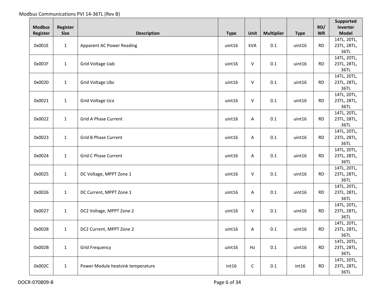| <b>Modbus</b>   | Register     |                                   |             |              |                   |             | RD/       | Supported<br>Inverter |
|-----------------|--------------|-----------------------------------|-------------|--------------|-------------------|-------------|-----------|-----------------------|
| <b>Register</b> | <b>Size</b>  | <b>Description</b>                | <b>Type</b> | Unit         | <b>Multiplier</b> | <b>Type</b> | <b>WR</b> | <b>Model</b>          |
|                 |              |                                   |             |              |                   |             |           | 14TL, 20TL,           |
| 0x001E          | $\mathbf{1}$ | <b>Apparent AC Power Reading</b>  | uint16      | kVA          | 0.1               | uint16      | <b>RD</b> | 23TL, 28TL,           |
|                 |              |                                   |             |              |                   |             |           | 36TL                  |
|                 |              |                                   |             |              |                   |             |           | 14TL, 20TL,           |
| 0x001F          | $\mathbf{1}$ | Grid Voltage Uab                  | uint16      | ${\sf V}$    | 0.1               | uint16      | <b>RD</b> | 23TL, 28TL,           |
|                 |              |                                   |             |              |                   |             |           | 36TL                  |
|                 |              |                                   |             |              |                   |             |           | 14TL, 20TL,           |
| 0x0020          | $\mathbf{1}$ | Grid Voltage Ubc                  | uint16      | V            | 0.1               | uint16      | <b>RD</b> | 23TL, 28TL,           |
|                 |              |                                   |             |              |                   |             |           | 36TL                  |
|                 |              |                                   |             |              |                   |             |           | 14TL, 20TL,           |
| 0x0021          | $\mathbf{1}$ | Grid Voltage Uca                  | uint16      | V            | 0.1               | uint16      | <b>RD</b> | 23TL, 28TL,           |
|                 |              |                                   |             |              |                   |             |           | 36TL                  |
|                 |              |                                   |             |              |                   |             |           | 14TL, 20TL,           |
| 0x0022          | $\mathbf{1}$ | Grid A Phase Current              | uint16      | Α            | $0.1\,$           | uint16      | <b>RD</b> | 23TL, 28TL,           |
|                 |              |                                   |             |              |                   |             |           | 36TL                  |
|                 |              |                                   |             |              |                   |             |           | 14TL, 20TL,           |
| 0x0023          | $\mathbf{1}$ | <b>Grid B Phase Current</b>       | uint16      | A            | 0.1               | uint16      | <b>RD</b> | 23TL, 28TL,           |
|                 |              |                                   |             |              |                   |             |           | 36TL                  |
|                 |              |                                   |             |              |                   |             |           | 14TL, 20TL,           |
| 0x0024          | $\mathbf{1}$ | <b>Grid C Phase Current</b>       | uint16      | Α            | 0.1               | uint16      | <b>RD</b> | 23TL, 28TL,           |
|                 |              |                                   |             |              |                   |             |           | 36TL                  |
|                 |              |                                   |             |              |                   |             |           | 14TL, 20TL,           |
| 0x0025          | $\mathbf{1}$ | DC Voltage, MPPT Zone 1           | uint16      | $\mathsf{V}$ | 0.1               | uint16      | <b>RD</b> | 23TL, 28TL,           |
|                 |              |                                   |             |              |                   |             |           | 36TL                  |
| 0x0026          |              | DC Current, MPPT Zone 1           | uint16      |              | 0.1               | uint16      | <b>RD</b> | 14TL, 20TL,           |
|                 | $\mathbf{1}$ |                                   |             | A            |                   |             |           | 23TL, 28TL,<br>36TL   |
|                 |              |                                   |             |              |                   |             |           | 14TL, 20TL,           |
| 0x0027          | $\mathbf{1}$ | DC2 Voltage, MPPT Zone 2          | uint16      | V            | 0.1               | uint16      | <b>RD</b> | 23TL, 28TL,           |
|                 |              |                                   |             |              |                   |             |           | 36TL                  |
|                 |              |                                   |             |              |                   |             |           | 14TL, 20TL,           |
| 0x0028          | $\mathbf{1}$ | DC2 Current, MPPT Zone 2          | uint16      | Α            | $0.1\,$           | uint16      | <b>RD</b> | 23TL, 28TL,           |
|                 |              |                                   |             |              |                   |             |           | 36TL                  |
|                 |              |                                   |             |              |                   |             |           | 14TL, 20TL,           |
| 0x002B          | $\mathbf{1}$ | <b>Grid Frequency</b>             | uint16      | Hz           | 0.1               | uint16      | <b>RD</b> | 23TL, 28TL,           |
|                 |              |                                   |             |              |                   |             |           | 36TL                  |
|                 |              |                                   |             |              |                   |             |           | 14TL, 20TL,           |
| 0x002C          | $\mathbf{1}$ | Power Module heatsink temperature | int16       | $\mathsf{C}$ | 0.1               | int16       | <b>RD</b> | 23TL, 28TL,           |
|                 |              |                                   |             |              |                   |             |           | 36TL                  |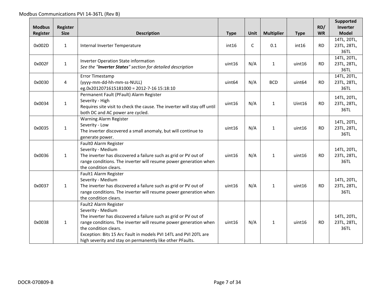| <b>Modbus</b> | Register     |                                                                                                                                                                                                                                                                                                                                             |                    |      |                   |                    | RD/       | Supported<br><b>Inverter</b>       |
|---------------|--------------|---------------------------------------------------------------------------------------------------------------------------------------------------------------------------------------------------------------------------------------------------------------------------------------------------------------------------------------------|--------------------|------|-------------------|--------------------|-----------|------------------------------------|
| Register      | <b>Size</b>  | <b>Description</b>                                                                                                                                                                                                                                                                                                                          | <b>Type</b>        | Unit | <b>Multiplier</b> | <b>Type</b>        | <b>WR</b> | <b>Model</b>                       |
| 0x002D        | $\mathbf{1}$ | Internal Inverter Temperature                                                                                                                                                                                                                                                                                                               | int16              | C    | 0.1               | int16              | <b>RD</b> | 14TL, 20TL,<br>23TL, 28TL,<br>36TL |
| 0x002F        | $\mathbf{1}$ | Inverter Operation State information<br>See the "Inverter States" section for detailed description                                                                                                                                                                                                                                          | uint16             | N/A  | $\mathbf{1}$      | uint16             | <b>RD</b> | 14TL, 20TL,<br>23TL, 28TL,<br>36TL |
| 0x0030        | 4            | Error Timestamp<br>(yyyy-mm-dd-hh-mm-ss-NULL)<br>eg.0x2012071615181000 = 2012-7-16 15:18:10                                                                                                                                                                                                                                                 | uint <sub>64</sub> | N/A  | <b>BCD</b>        | uint <sub>64</sub> | <b>RD</b> | 14TL, 20TL,<br>23TL, 28TL,<br>36TL |
| 0x0034        | $\mathbf{1}$ | Permanent Fault (PFault) Alarm Register<br>Severity - High<br>Requires site visit to check the cause. The inverter will stay off until<br>both DC and AC power are cycled.                                                                                                                                                                  | uint16             | N/A  | $\mathbf{1}$      | Uint16             | <b>RD</b> | 14TL, 20TL,<br>23TL, 28TL,<br>36TL |
| 0x0035        | $\mathbf{1}$ | <b>Warning Alarm Register</b><br>Severity - Low<br>The inverter discovered a small anomaly, but will continue to<br>generate power.                                                                                                                                                                                                         | uint16             | N/A  | $\mathbf{1}$      | uint16             | <b>RD</b> | 14TL, 20TL,<br>23TL, 28TL,<br>36TL |
| 0x0036        | $\mathbf{1}$ | Fault0 Alarm Register<br>Severity - Medium<br>The inverter has discovered a failure such as grid or PV out of<br>range conditions. The inverter will resume power generation when<br>the condition clears.                                                                                                                                  | uint16             | N/A  | $\mathbf{1}$      | uint16             | <b>RD</b> | 14TL, 20TL,<br>23TL, 28TL,<br>36TL |
| 0x0037        | $\mathbf{1}$ | Fault1 Alarm Register<br>Severity - Medium<br>The inverter has discovered a failure such as grid or PV out of<br>range conditions. The inverter will resume power generation when<br>the condition clears.                                                                                                                                  | uint16             | N/A  | $\mathbf{1}$      | uint16             | <b>RD</b> | 14TL, 20TL,<br>23TL, 28TL,<br>36TL |
| 0x0038        | $\mathbf{1}$ | Fault2 Alarm Register<br>Severity - Medium<br>The inverter has discovered a failure such as grid or PV out of<br>range conditions. The inverter will resume power generation when<br>the condition clears.<br>Exception: Bits 15 Arc Fault in models PVI 14TL and PVI 20TL are<br>high severity and stay on permanently like other PFaults. | uint16             | N/A  | $\mathbf{1}$      | uint16             | <b>RD</b> | 14TL, 20TL,<br>23TL, 28TL,<br>36TL |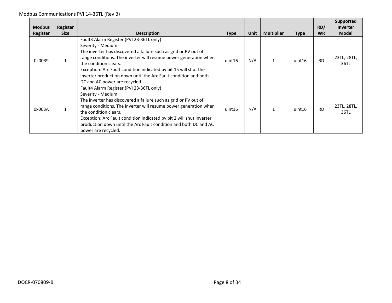| <b>Modbus</b> | <b>Register</b> |                                                                                                                                                                                                                                                                                                                                                                                                       |             |      |                   |             | RD/       | Supported<br>Inverter |
|---------------|-----------------|-------------------------------------------------------------------------------------------------------------------------------------------------------------------------------------------------------------------------------------------------------------------------------------------------------------------------------------------------------------------------------------------------------|-------------|------|-------------------|-------------|-----------|-----------------------|
| Register      | <b>Size</b>     | <b>Description</b>                                                                                                                                                                                                                                                                                                                                                                                    | <b>Type</b> | Unit | <b>Multiplier</b> | <b>Type</b> | <b>WR</b> | <b>Model</b>          |
| 0x0039        |                 | Fault3 Alarm Register (PVI 23-36TL only)<br>Severity - Medium<br>The inverter has discovered a failure such as grid or PV out of<br>range conditions. The inverter will resume power generation when<br>the condition clears.<br>Exception: Arc Fault condition indicated by bit 15 will shut the<br>inverter production down until the Arc Fault condition and both<br>DC and AC power are recycled. | uint16      | N/A  | 1                 | uint16      | <b>RD</b> | 23TL, 28TL,<br>36TL   |
| 0x003A        |                 | Fault4 Alarm Register (PVI 23-36TL only)<br>Severity - Medium<br>The inverter has discovered a failure such as grid or PV out of<br>range conditions. The inverter will resume power generation when<br>the condition clears.<br>Exception: Arc Fault condition indicated by bit 2 will shut inverter<br>production down until the Arc Fault condition and both DC and AC<br>power are recycled.      | uint16      | N/A  |                   | uint16      | <b>RD</b> | 23TL, 28TL,<br>36TL   |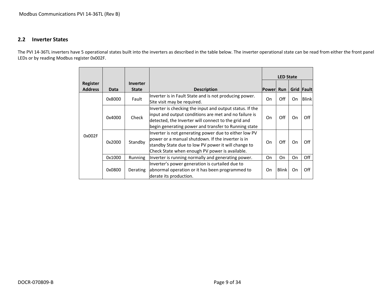### **2.2 Inverter States**

<span id="page-8-0"></span>The PVI 14-36TL inverters have 5 operational states built into the inverters as described in the table below. The inverter operational state can be read from either the front panel LEDs or by reading Modbus register 0x002F.

|                            |                                                                                                                                                                                                                                          |                          |                                                                                                                                                                                                                                  |               | <b>LED State</b> |      |              |
|----------------------------|------------------------------------------------------------------------------------------------------------------------------------------------------------------------------------------------------------------------------------------|--------------------------|----------------------------------------------------------------------------------------------------------------------------------------------------------------------------------------------------------------------------------|---------------|------------------|------|--------------|
| Register<br><b>Address</b> | Data                                                                                                                                                                                                                                     | Inverter<br><b>State</b> | <b>Description</b>                                                                                                                                                                                                               | <b>Powerl</b> | <b>Run</b>       | Grid | <b>Fault</b> |
|                            | 0x8000                                                                                                                                                                                                                                   | Fault                    | Inverter is in Fault State and is not producing power.<br>Site visit may be required.                                                                                                                                            | On            | Off              | On   | <b>Blink</b> |
|                            | 0x4000                                                                                                                                                                                                                                   | Check                    | Inverter is checking the input and output status. If the<br>input and output conditions are met and no failure is<br>detected, the Inverter will connect to the grid and<br>begin generating power and transfer to Running state | On            | Off              | On   | Off          |
| 0x002F                     | Inverter is not generating power due to either low PV<br>power or a manual shutdown. If the inverter is in<br>0x2000<br>Standby<br>standby State due to low PV power it will change to<br>Check State when enough PV power is available. |                          | On                                                                                                                                                                                                                               | Off           | On               | Off  |              |
|                            | 0x1000                                                                                                                                                                                                                                   | Running                  | Inverter is running normally and generating power.                                                                                                                                                                               | On            | On               | On   | Off          |
|                            | 0x0800                                                                                                                                                                                                                                   | Derating                 | Inverter's power generation is curtailed due to<br>abnormal operation or it has been programmed to<br>derate its production.                                                                                                     | On            | <b>Blink</b>     | On   | Off          |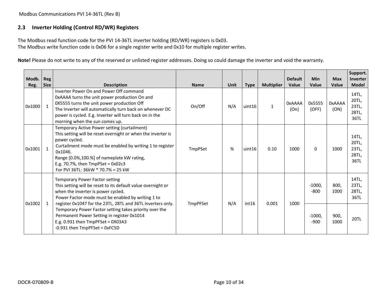Modbus Communications PVI 14-36TL (Rev B)

# **2.3 Inverter Holding (Control RD/WR) Registers**

The Modbus read function code for the PVI 14-36TL inverter holding (RD/WR) registers is 0x03. The Modbus write function code is 0x06 for a single register write and 0x10 for multiple register writes.

**Note!** Please do not write to any of the reserved or unlisted register addresses. Doing so could damage the inverter and void the warranty.

<span id="page-9-0"></span>

| Modb.<br>Reg. | <b>Reg</b><br><b>Size</b> | <b>Description</b>                                                                                                                                                                                                                                                                                                               | <b>Name</b> | <b>Unit</b> | <b>Type</b> | <b>Multiplier</b> | <b>Default</b><br><b>Value</b> | Min<br>Value       | <b>Max</b><br>Value   | Support.<br>Inverter<br><b>Model</b>     |
|---------------|---------------------------|----------------------------------------------------------------------------------------------------------------------------------------------------------------------------------------------------------------------------------------------------------------------------------------------------------------------------------|-------------|-------------|-------------|-------------------|--------------------------------|--------------------|-----------------------|------------------------------------------|
| 0x1000        | $\mathbf{1}$              | Inverter Power On and Power Off command<br>OxAAAA turns the unit power production On and<br>0X5555 turns the unit power production Off<br>The Inverter will automatically turn back on whenever DC<br>power is cycled. E.g. Inverter will turn back on in the<br>morning when the sun comes up.                                  | On/Off      | N/A         | uint16      | $\mathbf{1}$      | <b>OxAAAA</b><br>(On)          | 0x5555<br>(OFF)    | <b>OxAAAA</b><br>(ON) | 14TL,<br>20TL,<br>23TL,<br>28TL,<br>36TL |
| 0x1001        | $\mathbf{1}$              | Temporary Active Power setting (curtailment)<br>This setting will be reset overnight or when the inverter is<br>power cycled.<br>Curtailment mode must be enabled by writing 1 to register<br>0x1046.<br>Range [0.0%,100.%] of nameplate kW rating,<br>E.g. 70.7%, then $TmpPSet = 0x02c3$<br>For PVI 36TL: 36kW * 70.7% = 25 kW | TmpPSet     | %           | uint16      | 0.10              | 1000                           | $\Omega$           | 1000                  | 14TL,<br>20TL,<br>23TL,<br>28TL,<br>36TL |
|               | $\mathbf{1}$              | Temporary Power Factor setting<br>This setting will be reset to its default value overnight or<br>when the inverter is power cycled.<br>Power Factor mode must be enabled by writing 1 to<br>register 0x1047 for the 23TL, 28TL and 36TL inverters only.                                                                         | TmpPFSet    | N/A         | int16       | 0.001             | 1000                           | $-1000,$<br>$-800$ | 800,<br>1000          | 14TL,<br>23TL,<br>28TL,<br>36TL          |
| 0x1002        |                           | Temporary Power Factor setting takes priority over the<br>Permanent Power Setting in register 0x1014<br>E.g. 0.931 then $TmpPFSet = 0X03A3$<br>-0.931 then TmpPFSet = 0xFC5D                                                                                                                                                     |             |             |             |                   |                                | $-1000,$<br>$-900$ | 900,<br>1000          | <b>20TL</b>                              |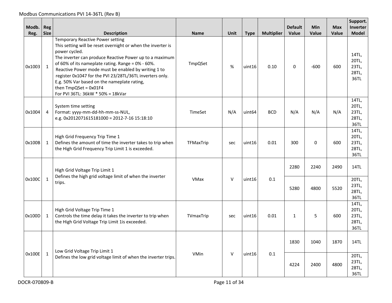| Modb.<br>Reg. | Reg<br><b>Size</b> | <b>Description</b>                                                                                                                                                                                                                                                                                                                                                                                                                                                       | <b>Name</b> | Unit   | <b>Type</b>        | <b>Multiplier</b> | <b>Default</b><br>Value | <b>Min</b><br>Value | <b>Max</b><br>Value | Support.<br>Inverter<br><b>Model</b>     |
|---------------|--------------------|--------------------------------------------------------------------------------------------------------------------------------------------------------------------------------------------------------------------------------------------------------------------------------------------------------------------------------------------------------------------------------------------------------------------------------------------------------------------------|-------------|--------|--------------------|-------------------|-------------------------|---------------------|---------------------|------------------------------------------|
| 0x1003        | $\mathbf{1}$       | <b>Temporary Reactive Power setting</b><br>This setting will be reset overnight or when the inverter is<br>power cycled.<br>The inverter can produce Reactive Power up to a maximum<br>of 60% of its nameplate rating. Range = 0% - 60%.<br>Reactive Power mode must be enabled by writing 1 to<br>register 0x1047 for the PVI 23/28TL/36TL inverters only.<br>E.g. 50% Var based on the nameplate rating,<br>then TmpQSet = 0x01F4<br>For PVI 36TL: 36kW * 50% = 18kVar | TmpQSet     | %      | uint16             | 0.10              | 0                       | $-600$              | 600                 | 14TL,<br>20TL,<br>23TL,<br>28TL,<br>36TL |
| 0x1004        | 4                  | System time setting<br>Format: yyyy-mm-dd-hh-mm-ss-NUL,<br>e.g. 0x2012071615181000 = 2012-7-16 15:18:10                                                                                                                                                                                                                                                                                                                                                                  | TimeSet     | N/A    | uint <sub>64</sub> | <b>BCD</b>        | N/A                     | N/A                 | N/A                 | 14TL,<br>20TL,<br>23TL,<br>28TL,<br>36TL |
| 0x100B        | 1                  | High Grid Frequency Trip Time 1<br>Defines the amount of time the inverter takes to trip when<br>the High Grid Frequency Trip Limit 1 is exceeded.                                                                                                                                                                                                                                                                                                                       | TFMaxTrip   | sec    | uint16             | 0.01              | 300                     | $\mathbf{0}$        | 600                 | 14TL,<br>20TL,<br>23TL,<br>28TL,<br>36TL |
|               |                    | High Grid Voltage Trip Limit 1                                                                                                                                                                                                                                                                                                                                                                                                                                           |             |        |                    |                   | 2280                    | 2240                | 2490                | 14TL                                     |
| 0x100C        | $\mathbf{1}$       | Defines the high grid voltage limit of when the inverter<br>trips.                                                                                                                                                                                                                                                                                                                                                                                                       | VMax        | $\vee$ | uint16             | 0.1               | 5280                    | 4800                | 5520                | 20TL,<br>23TL,<br>28TL,<br>36TL          |
| 0x100D        | 1                  | High Grid Voltage Trip Time 1<br>Controls the time delay it takes the inverter to trip when<br>the High Grid Voltage Trip Limit 1is exceeded.                                                                                                                                                                                                                                                                                                                            | TVmaxTrip   | sec    | uint16             | 0.01              | 1                       | 5                   | 600                 | 14TL,<br>20TL,<br>23TL,<br>28TL,<br>36TL |
|               |                    | Low Grid Voltage Trip Limit 1                                                                                                                                                                                                                                                                                                                                                                                                                                            |             |        |                    |                   | 1830                    | 1040                | 1870                | 14TL                                     |
| 0x100E        | $\mathbf{1}$       | Defines the low grid voltage limit of when the inverter trips.                                                                                                                                                                                                                                                                                                                                                                                                           | VMin        | $\vee$ | uint16             | 0.1               | 4224                    | 2400                | 4800                | 20TL,<br>23TL,<br>28TL,<br>36TL          |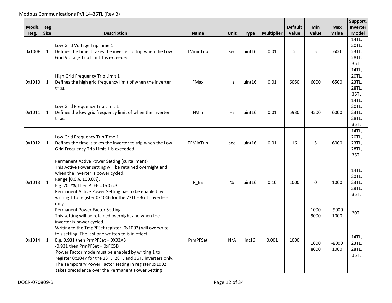Modbus Communications PVI 14-36TL (Rev B)

| Modb.  | Reg          |                                                                                                                                                                                                                                                                                                                                                                                                                                                                                                                |             |             |             |                   | <b>Default</b> | <b>Min</b>           | <b>Max</b>              | Support.<br><b>Inverter</b>              |
|--------|--------------|----------------------------------------------------------------------------------------------------------------------------------------------------------------------------------------------------------------------------------------------------------------------------------------------------------------------------------------------------------------------------------------------------------------------------------------------------------------------------------------------------------------|-------------|-------------|-------------|-------------------|----------------|----------------------|-------------------------|------------------------------------------|
| Reg.   | <b>Size</b>  | <b>Description</b>                                                                                                                                                                                                                                                                                                                                                                                                                                                                                             | <b>Name</b> | <b>Unit</b> | <b>Type</b> | <b>Multiplier</b> | <b>Value</b>   | Value                | Value                   | <b>Model</b>                             |
| 0x100F | $\mathbf{1}$ | Low Grid Voltage Trip Time 1<br>Defines the time it takes the inverter to trip when the Low<br>Grid Voltage Trip Limit 1 is exceeded.                                                                                                                                                                                                                                                                                                                                                                          | TVminTrip   | sec         | uint16      | 0.01              | $\overline{2}$ | 5                    | 600                     | 14TL,<br>20TL,<br>23TL,<br>28TL,<br>36TL |
| 0x1010 | $\mathbf{1}$ | High Grid Frequency Trip Limit 1<br>Defines the high grid frequency limit of when the inverter<br>trips.                                                                                                                                                                                                                                                                                                                                                                                                       | <b>FMax</b> | Hz          | uint16      | 0.01              | 6050           | 6000                 | 6500                    | 14TL,<br>20TL,<br>23TL,<br>28TL,<br>36TL |
| 0x1011 | $\mathbf{1}$ | Low Grid Frequency Trip Limit 1<br>Defines the low grid frequency limit of when the inverter<br>trips.                                                                                                                                                                                                                                                                                                                                                                                                         | <b>FMin</b> | Hz          | uint16      | 0.01              | 5930           | 4500                 | 6000                    | 14TL,<br>20TL,<br>23TL,<br>28TL,<br>36TL |
| 0x1012 | $\mathbf{1}$ | Low Grid Frequency Trip Time 1<br>Defines the time it takes the inverter to trip when the Low<br>Grid Frequency Trip Limit 1 is exceeded.                                                                                                                                                                                                                                                                                                                                                                      | TFMinTrip   | sec         | uint16      | 0.01              | 16             | 5                    | 6000                    | 14TL,<br>20TL,<br>23TL,<br>28TL,<br>36TL |
| 0x1013 | $\mathbf{1}$ | Permanent Active Power Setting (curtailment)<br>This Active Power setting will be retained overnight and<br>when the inverter is power cycled.<br>Range [0.0%, 100.0%],<br>E.g. 70.7%, then $P$ EE = 0x02c3<br>Permanent Active Power Setting has to be enabled by<br>writing 1 to register 0x1046 for the 23TL - 36TL inverters<br>only.                                                                                                                                                                      | $P$ EE      | %           | uint16      | 0.10              | 1000           | 0                    | 1000                    | 14TL,<br>20TL,<br>23TL,<br>28TL,<br>36TL |
|        |              | <b>Permanent Power Factor Setting</b>                                                                                                                                                                                                                                                                                                                                                                                                                                                                          |             |             |             |                   |                | 1000                 | $-9000$                 | <b>20TL</b>                              |
| 0x1014 | $\mathbf{1}$ | This setting will be retained overnight and when the<br>inverter is power cycled.<br>Writing to the TmpPFSet register (0x1002) will overwrite<br>this setting. The last one written to is in effect.<br>E.g. $0.931$ then PrmPFSet = 0X03A3<br>-0.931 then PrmPFSet = 0xFC5D<br>Power Factor mode must be enabled by writing 1 to<br>register 0x1047 for the 23TL, 28TL and 36TL inverters only.<br>The Temporary Power Factor setting in register 0x1002<br>takes precedence over the Permanent Power Setting | PrmPFSet    | N/A         | int16       | 0.001             | 1000           | 9000<br>1000<br>8000 | 1000<br>$-8000$<br>1000 | 14TL,<br>23TL,<br>28TL,<br>36TL          |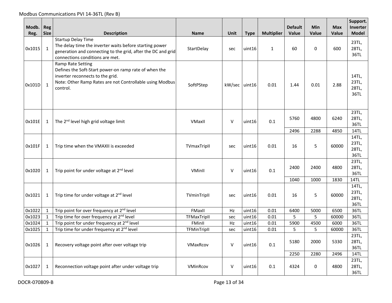| Modb.<br>Reg. | Reg<br><b>Size</b> | <b>Description</b>                                                                                                                                                                      | <b>Name</b> | Unit          | <b>Type</b> | <b>Multiplier</b> | <b>Default</b><br>Value | <b>Min</b><br>Value | <b>Max</b><br>Value | Support.<br>Inverter<br><b>Model</b> |
|---------------|--------------------|-----------------------------------------------------------------------------------------------------------------------------------------------------------------------------------------|-------------|---------------|-------------|-------------------|-------------------------|---------------------|---------------------|--------------------------------------|
| 0x1015        | $\mathbf{1}$       | <b>Startup Delay Time</b><br>The delay time the inverter waits before starting power<br>generation and connecting to the grid, after the DC and grid<br>connections conditions are met. | StartDelay  | sec           | uint16      | $\mathbf{1}$      | 60                      | $\Omega$            | 600                 | 23TL,<br>28TL,<br>36TL               |
| 0x101D        | $\mathbf{1}$       | Ramp Rate Setting<br>Defines the Soft-Start power-on ramp rate of when the<br>inverter reconnects to the grid.<br>Note: Other Ramp Rates are not Controllable using Modbus<br>control.  | SoftPStep   | kW/sec uint16 |             | 0.01              | 1.44                    | 0.01                | 2.88                | 14TL,<br>23TL,<br>28TL,<br>36TL      |
| 0x101E        | 1                  | The 2 <sup>nd</sup> level high grid voltage limit                                                                                                                                       | VMaxII      | $\vee$        | uint16      | 0.1               | 5760                    | 4800                | 6240                | 23TL,<br>28TL,<br>36TL               |
|               |                    |                                                                                                                                                                                         |             |               |             |                   | 2496                    | 2288                | 4850                | 14TL                                 |
| 0x101F        | 1                  | Trip time when the VMAXII is exceeded                                                                                                                                                   | TVmaxTripII | sec           | uint16      | 0.01              | 16                      | 5                   | 60000               | 14TL,<br>23TL,<br>28TL,<br>36TL      |
| 0x1020        | $\mathbf{1}$       | Trip point for under voltage at 2 <sup>nd</sup> level                                                                                                                                   | VMinII      | $\vee$        | uint16      | 0.1               | 2400                    | 2400                | 4800                | 23TL,<br>28TL,<br>36TL               |
|               |                    |                                                                                                                                                                                         |             |               |             |                   | 1040                    | 1000                | 1830                | 14TL                                 |
| 0x1021        | 1                  | Trip time for under voltage at 2 <sup>nd</sup> level                                                                                                                                    | TVminTripll | sec           | uint16      | 0.01              | 16                      | 5                   | 60000               | 14TL,<br>23TL,<br>28TL,<br>36TL      |
| 0x1022        | $\mathbf{1}$       | Trip point for over frequency at 2 <sup>nd</sup> level                                                                                                                                  | FMaxII      | Hz            | uint16      | 0.01              | 6400                    | 5000                | 6500                | 36TL                                 |
| 0x1023        | $\mathbf{1}$       | Trip time for over frequency at 2 <sup>nd</sup> level                                                                                                                                   | TFMaxTripII | sec           | uint16      | 0.01              | 5                       | 5                   | 60000               | 36TL                                 |
| 0x1024        | $\mathbf{1}$       | Trip point for under frequency at 2 <sup>nd</sup> level                                                                                                                                 | FMinII      | Hz            | uint16      | 0.01              | 5900                    | 4500                | 6000                | 36TL                                 |
| 0x1025        | $\mathbf{1}$       | Trip time for under frequency at 2 <sup>nd</sup> level                                                                                                                                  | TFMinTripII | sec           | uint16      | 0.01              | 5                       | 5                   | 60000               | 36TL                                 |
| 0x1026        | 1                  | Recovery voltage point after over voltage trip                                                                                                                                          | VMaxRcov    | $\vee$        | uint16      | 0.1               | 5180                    | 2000                | 5330                | 23TL,<br>28TL,<br>36TL               |
|               |                    |                                                                                                                                                                                         |             |               |             |                   | 2250                    | 2280                | 2496                | 14TL                                 |
| 0x1027        | 1                  | Reconnection voltage point after under voltage trip                                                                                                                                     | VMinRcov    | $\vee$        | uint16      | 0.1               | 4324                    | 0                   | 4800                | 23TL,<br>28TL,<br>36TL               |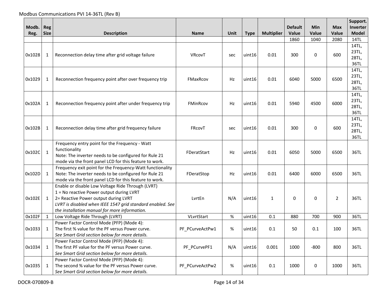|        |                                                                         |                                                            |                 |      |             |                   |                |        |                | Support.      |
|--------|-------------------------------------------------------------------------|------------------------------------------------------------|-----------------|------|-------------|-------------------|----------------|--------|----------------|---------------|
| Modb.  | Reg                                                                     |                                                            |                 |      |             |                   | <b>Default</b> | Min    | <b>Max</b>     | Inverter      |
| Reg.   | <b>Size</b>                                                             | <b>Description</b>                                         | <b>Name</b>     | Unit | <b>Type</b> | <b>Multiplier</b> | Value          | Value  | Value          | <b>Model</b>  |
|        |                                                                         |                                                            |                 |      |             |                   | 1860           | 1040   | 2080           | 14TL          |
|        |                                                                         |                                                            |                 |      |             |                   |                |        |                | 14TL,         |
| 0x1028 | 1                                                                       | Reconnection delay time after grid voltage failure         | VRcovT          | sec  | uint16      | 0.01              | 300            | 0      | 600            | 23TL,         |
|        |                                                                         |                                                            |                 |      |             |                   |                |        |                | 28TL,         |
|        |                                                                         |                                                            |                 |      |             |                   |                |        |                | 36TL          |
|        |                                                                         |                                                            |                 |      |             |                   |                |        |                | 14TL,         |
| 0x1029 | 1                                                                       | Reconnection frequency point after over frequency trip     | FMaxRcov        | Hz   | uint16      | 0.01              | 6040           | 5000   | 6500           | 23TL,         |
|        |                                                                         |                                                            |                 |      |             |                   |                |        |                | 28TL,         |
|        |                                                                         |                                                            |                 |      |             |                   |                |        |                | 36TL<br>14TL, |
|        |                                                                         |                                                            |                 |      |             |                   |                |        |                | 23TL,         |
| 0x102A | $\mathbf{1}$<br>Reconnection frequency point after under frequency trip |                                                            | FMinRcov        | Hz   | uint16      | 0.01              | 5940           | 4500   | 6000           | 28TL,         |
|        |                                                                         |                                                            |                 |      |             |                   |                |        |                | 36TL          |
|        |                                                                         |                                                            |                 |      |             |                   |                |        |                | 14TL,         |
|        |                                                                         |                                                            |                 |      |             |                   |                |        |                | 23TL,         |
| 0x102B | 1                                                                       | Reconnection delay time after grid frequency failure       | FRCOVT          | sec  | uint16      | 0.01              | 300            | 0      | 600            | 28TL,         |
|        |                                                                         |                                                            |                 |      |             |                   |                |        |                | 36TL          |
|        |                                                                         | Frequency entry point for the Frequency - Watt             |                 |      |             |                   |                |        |                |               |
|        |                                                                         | functionality                                              | FDeratStart     |      |             |                   |                |        |                |               |
| 0x102C | $\mathbf{1}$                                                            | Note: The inverter needs to be configured for Rule 21      |                 | Hz   | uint16      | 0.01              | 6050           | 5000   | 6500           | 36TL          |
|        |                                                                         | mode via the front panel LCD for this feature to work.     |                 |      |             |                   |                |        |                |               |
|        |                                                                         | Frequency exit point for the Frequency-Watt functionality  |                 |      |             |                   |                |        |                |               |
| 0x102D | $\mathbf{1}$                                                            | Note: The inverter needs to be configured for Rule 21      | FDeratStop      | Hz   | uint16      | 0.01              | 6400           | 6000   | 6500           | 36TL          |
|        |                                                                         | mode via the front panel LCD for this feature to work.     |                 |      |             |                   |                |        |                |               |
|        |                                                                         | Enable or disable Low Voltage Ride Through (LVRT)          |                 |      |             |                   |                |        |                |               |
|        |                                                                         | 1 = No reactive Power output during LVRT                   |                 |      |             |                   |                |        |                |               |
| 0x102E | $\mathbf{1}$                                                            | 2= Reactive Power output during LVRT                       | LvrtEn          | N/A  | uint16      | $\mathbf{1}$      | $\Omega$       | 0      | $\overline{2}$ | 36TL          |
|        |                                                                         | LVRT is disabled when IEEE 1547 grid standard enabled. See |                 |      |             |                   |                |        |                |               |
|        |                                                                         | the installation manual for more information.              |                 |      |             |                   |                |        |                |               |
| 0x102F | $\mathbf{1}$                                                            | Low Voltage Ride Through (LVRT)                            | VLvrtStart      | $\%$ | uint16      | 0.1               | 880            | 700    | 900            | 36TL          |
|        |                                                                         | Power Factor Control Mode (PFP) (Mode 4):                  |                 |      |             |                   |                |        |                |               |
| 0x1033 | $\mathbf{1}$                                                            | The first % value for the PF versus Power curve.           | PF_PCurveActPw1 | %    | uint16      | 0.1               | 50             | 0.1    | 100            | 36TL          |
|        |                                                                         | See Smart Grid section below for more details.             |                 |      |             |                   |                |        |                |               |
|        |                                                                         | Power Factor Control Mode (PFP) (Mode 4):                  |                 |      |             |                   |                |        |                |               |
| 0x1034 | $\mathbf{1}$                                                            | The first PF value for the PF versus Power curve.          | PF_PCurvePF1    | N/A  | uint16      | 0.001             | 1000           | $-800$ | 800            | 36TL          |
|        |                                                                         | See Smart Grid section below for more details.             |                 |      |             |                   |                |        |                |               |
|        |                                                                         | Power Factor Control Mode (PFP) (Mode 4):                  |                 |      |             |                   |                |        |                |               |
| 0x1035 | 1                                                                       | The second % value for the PF versus Power curve.          | PF PCurveActPw2 | %    | uint16      | 0.1               | 1000           | 0      | 1000           | 36TL          |
|        |                                                                         | See Smart Grid section below for more details.             |                 |      |             |                   |                |        |                |               |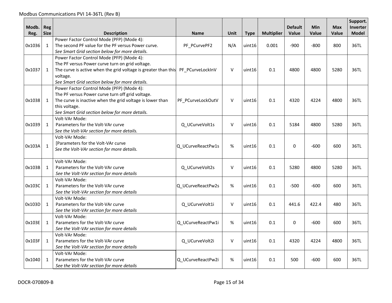| Modb.<br>Reg. | Reg<br><b>Size</b> | <b>Description</b>                                                                                                                                                                                                                            | <b>Name</b>       | Unit         | <b>Type</b> | <b>Multiplier</b> | <b>Default</b><br>Value | Min<br>Value | <b>Max</b><br>Value | Support.<br>Inverter<br><b>Model</b> |
|---------------|--------------------|-----------------------------------------------------------------------------------------------------------------------------------------------------------------------------------------------------------------------------------------------|-------------------|--------------|-------------|-------------------|-------------------------|--------------|---------------------|--------------------------------------|
| 0x1036        | $\mathbf{1}$       | Power Factor Control Mode (PFP) (Mode 4):<br>The second PF value for the PF versus Power curve.<br>See Smart Grid section below for more details.                                                                                             | PF_PCurvePF2      | N/A          | uint16      | 0.001             | $-900$                  | $-800$       | 800                 | 36TL                                 |
| 0x1037        | $\mathbf{1}$       | Power Factor Control Mode (PFP) (Mode 4):<br>The PF versus Power curve turn on grid voltage.<br>The curve is active when the grid voltage is greater than this PF PCurveLockInV<br>voltage.<br>See Smart Grid section below for more details. |                   | $\mathsf{V}$ | uint16      | 0.1               | 4800                    | 4800         | 5280                | 36TL                                 |
| 0x1038        | $\mathbf{1}$       | Power Factor Control Mode (PFP) (Mode 4):<br>The PF versus Power curve turn off grid voltage.<br>The curve is inactive when the grid voltage is lower than<br>this voltage.<br>See Smart Grid section below for more details.                 | PF_PCurveLockOutV | $\vee$       | uint16      | 0.1               | 4320                    | 4224         | 4800                | 36TL                                 |
| 0x1039        | $\mathbf{1}$       | Volt-VAr Mode:<br>Parameters for the Volt-VAr curve<br>See the Volt-VAr section for more details.                                                                                                                                             | Q UCurveVolt1s    | $\vee$       | uint16      | 0.1               | 5184                    | 4800         | 5280                | 36TL                                 |
| 0x103A        | $\mathbf{1}$       | Volt-VAr Mode:<br>[Parameters for the Volt-VAr curve<br>See the Volt-VAr section for more details.                                                                                                                                            | Q_UCurveReactPw1s | $\%$         | uint16      | 0.1               | $\Omega$                | $-600$       | 600                 | 36TL                                 |
| 0x103B        | $\mathbf{1}$       | Volt-VAr Mode:<br>Parameters for the Volt-VAr curve<br>See the Volt-VAr section for more details                                                                                                                                              | Q UCurveVolt2s    | $\vee$       | uint16      | 0.1               | 5280                    | 4800         | 5280                | 36TL                                 |
| 0x103C        | 1                  | Volt-VAr Mode:<br>Parameters for the Volt-VAr curve<br>See the Volt-VAr section for more details                                                                                                                                              | Q UCurveReactPw2s | $\%$         | uint16      | 0.1               | $-500$                  | $-600$       | 600                 | 36TL                                 |
| 0x103D        | 1                  | Volt-VAr Mode:<br>Parameters for the Volt-VAr curve<br>See the Volt-VAr section for more details                                                                                                                                              | Q UCurveVolt1i    | $\mathsf V$  | uint16      | 0.1               | 441.6                   | 422.4        | 480                 | 36TL                                 |
| 0x103E        | 1                  | Volt-VAr Mode:<br>Parameters for the Volt-VAr curve<br>See the Volt-VAr section for more details                                                                                                                                              | Q UCurveReactPw1i | %            | uint16      | 0.1               | 0                       | $-600$       | 600                 | 36TL                                 |
| 0x103F        | $\mathbf{1}$       | Volt-VAr Mode:<br>Parameters for the Volt-VAr curve<br>See the Volt-VAr section for more details                                                                                                                                              | Q UCurveVolt2i    | $\vee$       | uint16      | 0.1               | 4320                    | 4224         | 4800                | 36TL                                 |
| 0x1040        | $\mathbf{1}$       | Volt-VAr Mode:<br>Parameters for the Volt-VAr curve<br>See the Volt-VAr section for more details                                                                                                                                              | Q UCurveReactPw2i | %            | uint16      | 0.1               | 500                     | $-600$       | 600                 | 36TL                                 |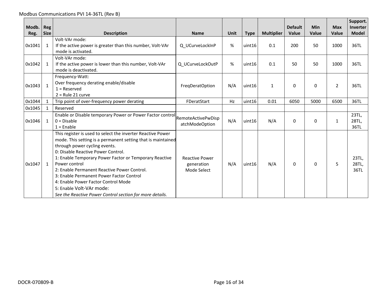Modbus Communications PVI 14-36TL (Rev B)

| Modb.<br>Reg. | <b>Reg</b><br><b>Size</b> | <b>Description</b>                                                                                                                                                                                                                                                                                                                                                                                                                                                                                      | <b>Name</b>                                        | Unit | <b>Type</b> | <b>Multiplier</b> | <b>Default</b><br><b>Value</b> | <b>Min</b><br>Value | <b>Max</b><br>Value | Support.<br>Inverter<br><b>Model</b> |
|---------------|---------------------------|---------------------------------------------------------------------------------------------------------------------------------------------------------------------------------------------------------------------------------------------------------------------------------------------------------------------------------------------------------------------------------------------------------------------------------------------------------------------------------------------------------|----------------------------------------------------|------|-------------|-------------------|--------------------------------|---------------------|---------------------|--------------------------------------|
| 0x1041        | $\mathbf{1}$              | Volt-VAr mode:<br>If the active power is greater than this number, Volt-VAr<br>mode is activated.                                                                                                                                                                                                                                                                                                                                                                                                       | Q UCurveLockInP                                    | %    | uint16      | 0.1               | 200                            | 50                  | 1000                | 36TL                                 |
| 0x1042        | 1                         | Volt-VAr mode:<br>If the active power is lower than this number, Volt-VAr<br>mode is deactivated.                                                                                                                                                                                                                                                                                                                                                                                                       | Q UCurveLockOutP                                   | %    | uint16      | 0.1               | 50                             | 50                  | 1000                | 36TL                                 |
| 0x1043        | $\mathbf{1}$              | Frequency-Watt:<br>Over frequency derating enable/disable<br>$1 =$ Reserved<br>$2$ = Rule 21 curve                                                                                                                                                                                                                                                                                                                                                                                                      | FreqDeratOption                                    | N/A  | uint16      | $\mathbf{1}$      | $\Omega$                       | $\Omega$            | $\overline{2}$      | 36TL                                 |
| 0x1044        | $\mathbf{1}$              | Trip point of over-frequency power derating                                                                                                                                                                                                                                                                                                                                                                                                                                                             | FDeratStart                                        | Hz   | uint16      | 0.01              | 6050                           | 5000                | 6500                | 36TL                                 |
| 0x1045        | 1                         | Reserved                                                                                                                                                                                                                                                                                                                                                                                                                                                                                                |                                                    |      |             |                   |                                |                     |                     |                                      |
| 0x1046        | 1                         | Enable or Disable temporary Power or Power Factor control<br>$0 = Disable$<br>$1 =$ Enable                                                                                                                                                                                                                                                                                                                                                                                                              | <b>RemoteActivePwDisp</b><br>atchModeOption        | N/A  | uint16      | N/A               | 0                              | 0                   | 1                   | 23TL.<br>28TL,<br>36TL               |
| 0x1047        | $\mathbf{1}$              | This register is used to select the inverter Reactive Power<br>mode. This setting is a permanent setting that is maintained<br>through power cycling events.<br>0: Disable Reactive Power Control.<br>1: Enable Temporary Power Factor or Temporary Reactive<br>Power control<br>2: Enable Permanent Reactive Power Control.<br>3: Enable Permanent Power Factor Control<br>4: Enable Power Factor Control Mode<br>5: Enable Volt-VAr mode:<br>See the Reactive Power Control section for more details. | <b>Reactive Power</b><br>generation<br>Mode Select | N/A  | uint16      | N/A               | $\Omega$                       | $\Omega$            | 5                   | 23TL,<br>28TL,<br>36TL               |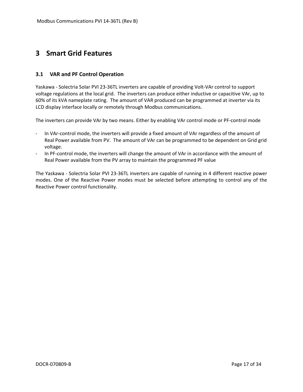# <span id="page-16-0"></span>**3 Smart Grid Features**

#### <span id="page-16-1"></span>**3.1 VAR and PF Control Operation**

Yaskawa - Solectria Solar PVI 23-36TL inverters are capable of providing Volt-VAr control to support voltage regulations at the local grid. The inverters can produce either inductive or capacitive VAr, up to 60% of its kVA nameplate rating. The amount of VAR produced can be programmed at inverter via its LCD display interface locally or remotely through Modbus communications.

The inverters can provide VAr by two means. Either by enabling VAr control mode or PF-control mode

- In VAr-control mode, the inverters will provide a fixed amount of VAr regardless of the amount of Real Power available from PV. The amount of VAr can be programmed to be dependent on Grid grid voltage.
- In PF-control mode, the inverters will change the amount of VAr in accordance with the amount of Real Power available from the PV array to maintain the programmed PF value

The Yaskawa - Solectria Solar PVI 23-36TL inverters are capable of running in 4 different reactive power modes. One of the Reactive Power modes must be selected before attempting to control any of the Reactive Power control functionality.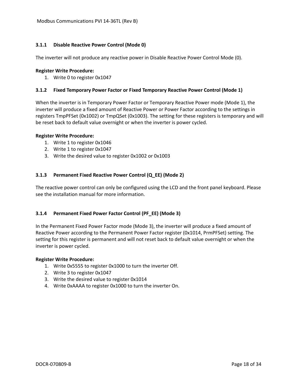#### <span id="page-17-0"></span>**3.1.1 Disable Reactive Power Control (Mode 0)**

The inverter will not produce any reactive power in Disable Reactive Power Control Mode (0).

#### **Register Write Procedure:**

1. Write 0 to register 0x1047

#### <span id="page-17-1"></span>**3.1.2 Fixed Temporary Power Factor or Fixed Temporary Reactive Power Control (Mode 1)**

When the inverter is in Temporary Power Factor or Temporary Reactive Power mode (Mode 1), the inverter will produce a fixed amount of Reactive Power or Power Factor according to the settings in registers TmpPFSet (0x1002) or TmpQSet (0x1003). The setting for these registers is temporary and will be reset back to default value overnight or when the inverter is power cycled.

#### **Register Write Procedure:**

- 1. Write 1 to register 0x1046
- 2. Write 1 to register 0x1047
- 3. Write the desired value to register 0x1002 or 0x1003

#### <span id="page-17-2"></span>**3.1.3 Permanent Fixed Reactive Power Control (Q\_EE) (Mode 2)**

The reactive power control can only be configured using the LCD and the front panel keyboard. Please see the installation manual for more information.

#### <span id="page-17-3"></span>**3.1.4 Permanent Fixed Power Factor Control (PF\_EE) (Mode 3)**

In the Permanent Fixed Power Factor mode (Mode 3), the inverter will produce a fixed amount of Reactive Power according to the Permanent Power Factor register (0x1014, PrmPFSet) setting. The setting for this register is permanent and will not reset back to default value overnight or when the inverter is power cycled.

#### **Register Write Procedure:**

- 1. Write 0x5555 to register 0x1000 to turn the inverter Off.
- 2. Write 3 to register 0x1047
- 3. Write the desired value to register 0x1014
- 4. Write 0xAAAA to register 0x1000 to turn the inverter On.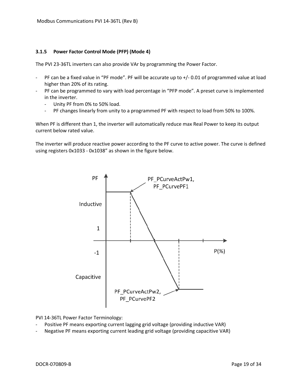#### <span id="page-18-0"></span>**3.1.5 Power Factor Control Mode (PFP) (Mode 4)**

The PVI 23-36TL inverters can also provide VAr by programming the Power Factor.

- PF can be a fixed value in "PF mode". PF will be accurate up to +/- 0.01 of programmed value at load higher than 20% of its rating.
- PF can be programmed to vary with load percentage in "PFP mode". A preset curve is implemented in the inverter.
	- Unity PF from 0% to 50% load.
	- PF changes linearly from unity to a programmed PF with respect to load from 50% to 100%.

When PF is different than 1, the inverter will automatically reduce max Real Power to keep its output current below rated value.

The inverter will produce reactive power according to the PF curve to active power. The curve is defined using registers 0x1033 - 0x1038" as shown in the figure below.



PVI 14-36TL Power Factor Terminology:

- Positive PF means exporting current lagging grid voltage (providing inductive VAR)
- Negative PF means exporting current leading grid voltage (providing capacitive VAR)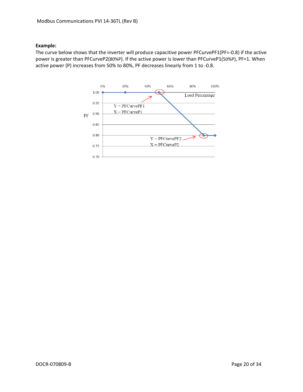#### **Example:**

The curve below shows that the inverter will produce capacitive power PFCurvePF1(PF=-0.8) if the active power is greater than PFCurveP2(80%P). If the active power is lower than PFCurveP1(50%P), PF=1. When active power (P) increases from 50% to 80%, PF decreases linearly from 1 to -0.8.

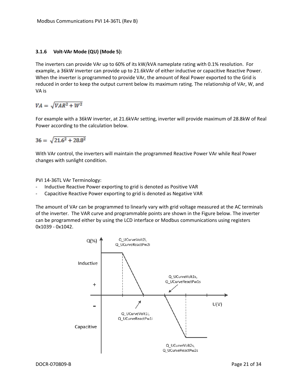#### <span id="page-20-0"></span>**3.1.6 Volt-VAr Mode (QU) (Mode 5):**

The inverters can provide VAr up to 60% of its kW/kVA nameplate rating with 0.1% resolution. For example, a 36kW inverter can provide up to 21.6kVAr of either inductive or capacitive Reactive Power. When the inverter is programmed to provide VAr, the amount of Real Power exported to the Grid is reduced in order to keep the output current below its maximum rating. The relationship of VAr, W, and VA is

# $VA = \sqrt{VAR^2 + W^2}$

For example with a 36kW inverter, at 21.6kVAr setting, inverter will provide maximum of 28.8kW of Real Power according to the calculation below.

$$
36 = \sqrt{21.6^2 + 28.8^2}
$$

With VAr control, the inverters will maintain the programmed Reactive Power VAr while Real Power changes with sunlight condition.

PVI 14-36TL VAr Terminology:

- Inductive Reactive Power exporting to grid is denoted as Positive VAR
- Capacitive Reactive Power exporting to grid is denoted as Negative VAR

The amount of VAr can be programmed to linearly vary with grid voltage measured at the AC terminals of the inverter. The VAR curve and programmable points are shown in the Figure below. The inverter can be programmed either by using the LCD interface or Modbus communications using registers 0x1039 - 0x1042.

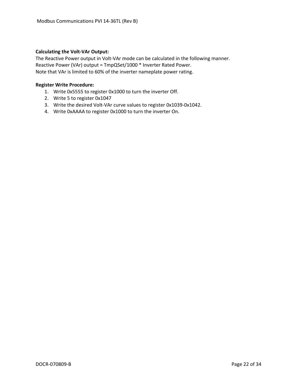#### **Calculating the Volt-VAr Output:**

The Reactive Power output in Volt-VAr mode can be calculated in the following manner. Reactive Power (VAr) output = TmpQSet/1000 \* Inverter Rated Power. Note that VAr is limited to 60% of the inverter nameplate power rating.

#### **Register Write Procedure:**

- 1. Write 0x5555 to register 0x1000 to turn the inverter Off.
- 2. Write 5 to register 0x1047
- 3. Write the desired Volt-VAr curve values to register 0x1039-0x1042.
- 4. Write 0xAAAA to register 0x1000 to turn the inverter On.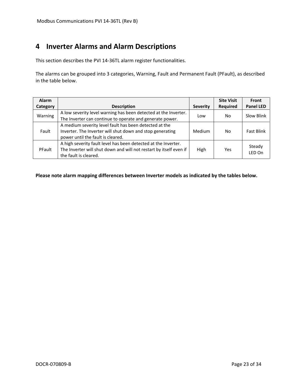# <span id="page-22-0"></span>**4 Inverter Alarms and Alarm Descriptions**

This section describes the PVI 14-36TL alarm register functionalities.

The alarms can be grouped into 3 categories, Warning, Fault and Permanent Fault (PFault), as described in the table below.

| <b>Alarm</b> |                                                                    |                 | <b>Site Visit</b> | Front             |
|--------------|--------------------------------------------------------------------|-----------------|-------------------|-------------------|
| Category     | <b>Description</b>                                                 | <b>Severity</b> | <b>Required</b>   | <b>Panel LED</b>  |
| Warning      | A low severity level warning has been detected at the Inverter.    | Low             | No                | Slow Blink        |
|              | The Inverter can continue to operate and generate power.           |                 |                   |                   |
|              | A medium severity level fault has been detected at the             |                 |                   |                   |
| Fault        | Inverter. The Inverter will shut down and stop generating          | Medium          | No.               | <b>Fast Blink</b> |
|              | power until the fault is cleared.                                  |                 |                   |                   |
|              | A high severity fault level has been detected at the Inverter.     |                 |                   |                   |
| PFault       | The Inverter will shut down and will not restart by itself even if | High            | Yes               | Steady<br>LED On  |
|              | the fault is cleared.                                              |                 |                   |                   |

**Please note alarm mapping differences between Inverter models as indicated by the tables below.**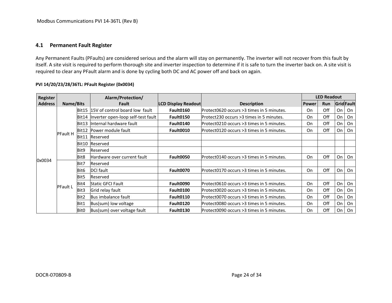# **4.1 Permanent Fault Register**

Any Permanent Faults (PFaults) are considered serious and the alarm will stay on permanently. The inverter will not recover from this fault by itself. A site visit is required to perform thorough site and inverter inspection to determine if it is safe to turn the inverter back on. A site visit is required to clear any PFault alarm and is done by cycling both DC and AC power off and back on again.

<span id="page-23-0"></span>

| <b>Register</b> |                 |                  | Alarm/Protection/                     |                            |                                            |              | <b>LED Readout</b> |    |           |
|-----------------|-----------------|------------------|---------------------------------------|----------------------------|--------------------------------------------|--------------|--------------------|----|-----------|
| <b>Address</b>  | Name/Bits       |                  | <b>Fault</b>                          | <b>LCD Display Readout</b> | <b>Description</b>                         | <b>Power</b> | <b>Run</b>         |    | GridFault |
|                 |                 |                  | Bit15  15V of control board low fault | Fault0160                  | Protect0620 occurs >3 times in 5 minutes.  | On           | Off                | On | On        |
|                 |                 | Bit14            | Inverter open-loop self-test fault    | Fault0150                  | Protect230 occurs >3 times in 5 minutes.   | On           | Off                | On | On        |
|                 |                 | Bit13            | Internal hardware fault               | Fault0140                  | Protect0210 occurs >3 times in 5 minutes.  | On           | Off                | On | On        |
|                 | <b>PFault H</b> |                  | Bit12 Power module fault              | Fault0010                  | Protect0120 occurs >3 times in 5 minutes.  | On           | Off                | On | On        |
|                 |                 | Bit11            | Reserved                              |                            |                                            |              |                    |    |           |
|                 |                 | Bit10            | Reserved                              |                            |                                            |              |                    |    |           |
|                 |                 | Bit9             | Reserved                              |                            |                                            |              |                    |    |           |
| 0x0034          |                 | Bit <sub>8</sub> | Hardware over current fault           | Fault0050                  | lProtect0140 occurs >3 times in 5 minutes. | On           | Off                | On | On        |
|                 |                 | Bit7             | Reserved                              |                            |                                            |              |                    |    |           |
|                 |                 | Bit <sub>6</sub> | <b>DCI</b> fault                      | Fault0070                  | Protect0170 occurs >3 times in 5 minutes.  | On           | Off                | On | On        |
|                 |                 | Bit5             | Reserved                              |                            |                                            |              |                    |    |           |
|                 | <b>PFault L</b> | Bit4             | <b>Static GFCI Fault</b>              | Fault0090                  | Protect0610 occurs >3 times in 5 minutes.  | On           | Off                | On | On        |
|                 |                 | Bit3             | Grid relay fault                      | Fault0100                  | Protect0020 occurs >3 times in 5 minutes.  | On           | Off                | On | On        |
|                 |                 | Bit2             | Bus imbalance fault                   | Fault0110                  | Protect0070 occurs >3 times in 5 minutes.  | On           | Off                | On | On        |
|                 |                 | Bit1             | Bus(sum) low voltage                  | Fault0120                  | IProtect0080 occurs >3 times in 5 minutes. | On           | Off                | On | On        |
|                 |                 | Bit0             | Bus(sum) over voltage fault           | Fault0130                  | IProtect0090 occurs >3 times in 5 minutes. | On           | Off                | On | On        |

#### **PVI 14/20/23/28/36TL: PFault Register (0x0034)**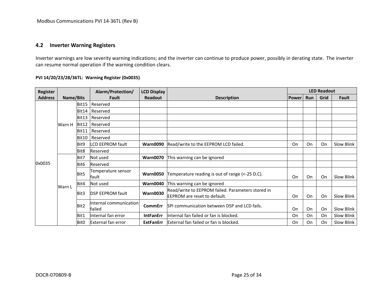# **4.2 Inverter Warning Registers**

Inverter warnings are low severity warning indications; and the inverter can continue to produce power, possibly in derating state. The inverter can resume normal operation if the warning condition clears.

# **PVI 14/20/23/28/36TL: Warning Register (0x0035)**

<span id="page-24-0"></span>

| Register       |           |              | Alarm/Protection/                | <b>LCD Display</b> |                                                   |              |            | <b>LED Readout</b> |            |
|----------------|-----------|--------------|----------------------------------|--------------------|---------------------------------------------------|--------------|------------|--------------------|------------|
| <b>Address</b> | Name/Bits |              | Fault                            | <b>Readout</b>     | <b>Description</b>                                | <b>Power</b> | <b>Run</b> | Grid               | Fault      |
|                |           | Bit15        | Reserved                         |                    |                                                   |              |            |                    |            |
|                |           | Bit14        | Reserved                         |                    |                                                   |              |            |                    |            |
|                |           | Bit13        | Reserved                         |                    |                                                   |              |            |                    |            |
|                | Warn H    | Bit12        | Reserved                         |                    |                                                   |              |            |                    |            |
|                |           | Bit11        | Reserved                         |                    |                                                   |              |            |                    |            |
|                |           | <b>Bit10</b> | Reserved                         |                    |                                                   |              |            |                    |            |
|                |           | Bit9         | <b>LCD EEPROM fault</b>          | <b>Warn0090</b>    | Read/write to the EEPROM LCD failed.              | On           | On         | On                 | Slow Blink |
|                |           | Bit8         | Reserved                         |                    |                                                   |              |            |                    |            |
|                |           | Bit7         | Not used                         | <b>Warn0070</b>    | This warning can be ignored                       |              |            |                    |            |
| 0x0035         |           | Bit6         | Reserved                         |                    |                                                   |              |            |                    |            |
|                |           | Bit5         | Temperature sensor<br>fault      | <b>Warn0050</b>    | Temperature reading is out of range (<-25 D.C).   | On           | On         | On                 | Slow Blink |
|                | Warn L    | Bit4         | Not used                         | <b>Warn0040</b>    | This warning can be ignored                       |              |            |                    |            |
|                |           |              |                                  | <b>Warn0030</b>    | Read/write to EEPROM failed. Parameters stored in |              |            |                    |            |
|                |           | Bit3         | <b>DSP EEPROM fault</b>          |                    | <b>EEPROM</b> are reset to default.               | On           | On         | On                 | Slow Blink |
|                |           | Bit2         | Internal communication<br>failed | <b>CommErr</b>     | SPI communication between DSP and LCD fails.      | On           | On         | On                 | Slow Blink |
|                |           | Bit1         | Internal fan error               | <b>IntFanErr</b>   | Internal fan failed or fan is blocked.            | On           | On         | On                 | Slow Blink |
|                |           | Bit0         | External fan error               | <b>ExtFanErr</b>   | External fan failed or fan is blocked.            | On           | On         | On                 | Slow Blink |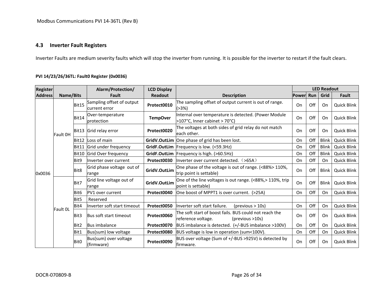### **4.3 Inverter Fault Registers**

Inverter Faults are medium severity faults which will stop the inverter from running. It is possible for the inverter to restart if the fault clears.

# **PVI 14/23/26/36TL: Fault0 Register (0x0036)**

<span id="page-25-0"></span>

| <b>Register</b> |           |                  | Alarm/Protection/                           | <b>LCD Display</b> |                                                                                                 |              |     | <b>LED Readout</b> |                    |
|-----------------|-----------|------------------|---------------------------------------------|--------------------|-------------------------------------------------------------------------------------------------|--------------|-----|--------------------|--------------------|
| <b>Address</b>  | Name/Bits |                  | Fault                                       | Readout            | <b>Description</b>                                                                              | <b>Power</b> | Run | Grid               | Fault              |
|                 |           | Bit15            | Sampling offset of output<br>lcurrent error | Protect0010        | The sampling offset of output current is out of range.<br>(>3%)                                 | On           | Off | On                 | Quick Blink        |
|                 |           | Bit14            | Over-temperature<br>Iprotection             | <b>TempOver</b>    | Internal over temperature is detected. (Power Module<br>>107°C, Inner cabinet > 70°C)           | On           | Off | On                 | Quick Blink        |
|                 | Fault OH  | Bit13            | Grid relay error                            | Protect0020        | The voltages at both sides of grid relay do not match<br>leach other.                           | On           | Off | On                 | <b>Quick Blink</b> |
|                 |           | Bit12            | Loss of main                                |                    | GridV.OutLim One phase of grid has been lost.                                                   | On           | Off | Blink              | <b>Quick Blink</b> |
|                 |           | Bit11            | Grid under frequency                        |                    | GridF.OutLim Frequency is low. (<59.3Hz)                                                        | On           | Off | <b>Blink</b>       | Quick Blink        |
|                 |           | Bit10            | Grid Over frequency                         |                    | GridF.OutLim   Frequency is high. (>60.5Hz)                                                     | On           | Off | Blink              | Quick Blink        |
| 0x0036          |           | Bit9             | Inverter over current                       | Protect0030        | linverter over current detected. (>65A)                                                         | On           | Off | On                 | <b>Quick Blink</b> |
|                 |           | Bit8             | Grid phase voltage out of<br>range          | GridV.OutLim       | One phase of the voltage is out of range. (<88%> 110%,<br>trip point is settable)               | On           | Off | <b>Blink</b>       | Quick Blink        |
|                 |           | Bit7             | Grid line voltage out of<br>range           | GridV.OutLim       | One of the line voltages is out range. (<88%,> 110%, trip<br>lpoint is settable)                | On           | Off | Blink              | Quick Blink        |
|                 |           | Bit <sub>6</sub> | PV1 over current                            | Protect0040        | One boost of MPPT1 is over current. (>25A)                                                      | On           | Off | On                 | <b>Quick Blink</b> |
|                 |           | Bit5             | Reserved                                    |                    |                                                                                                 |              |     |                    |                    |
|                 | Fault OL  | Bit4             | Inverter soft start timeout                 | Protect0050        | Inverter soft start failure.<br>$(previous > 10s)$                                              | On           | Off | On                 | <b>Quick Blink</b> |
|                 |           | Bit3             | Bus soft start timeout                      | Protect0060        | The soft start of boost fails. BUS could not reach the<br>reference voltage.<br>(previous >10s) | On           | Off | On                 | <b>Quick Blink</b> |
|                 |           | Bit2             | <b>Bus imbalance</b>                        | Protect0070        | BUS imbalance is detected. (+/-BUS imbalance >100V)                                             | On           | Off | On                 | <b>Quick Blink</b> |
|                 |           | Bit1             | Bus(sum) low voltage                        | Protect0080        | BUS voltage is low in operation (sum<100V).                                                     | On           | Off | On                 | Quick Blink        |
|                 |           | Bit <sub>0</sub> | Bus(sum) over voltage<br>(firmware)         | Protect0090        | BUS over voltage (Sum of +/-BUS >925V) is detected by<br>firmware.                              | On           | Off | On                 | Quick Blink        |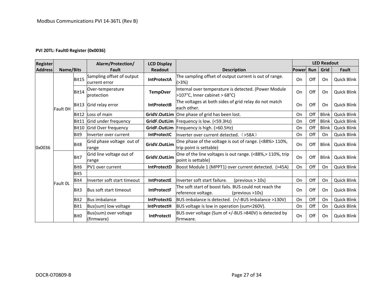#### **PVI 20TL: Fault0 Register (0x0036)**

| <b>Register</b> |           |                  | Alarm/Protection/                          | <b>LCD Display</b> |                                                                                                 |           |     | <b>LED Readout</b> |                    |
|-----------------|-----------|------------------|--------------------------------------------|--------------------|-------------------------------------------------------------------------------------------------|-----------|-----|--------------------|--------------------|
| <b>Address</b>  | Name/Bits |                  | Fault                                      | <b>Readout</b>     | <b>Description</b>                                                                              | Power Run |     | Grid               | Fault              |
|                 |           | Bit15            | Sampling offset of output<br>current error | <b>IntProtectA</b> | The sampling offset of output current is out of range.<br>(>3%)                                 | On        | Off | On                 | <b>Quick Blink</b> |
|                 |           | Bit14            | Over-temperature<br>protection             | <b>TempOver</b>    | Internal over temperature is detected. (Power Module<br>>107°C, Inner cabinet > 68°C)           | On        | Off | On                 | <b>Quick Blink</b> |
|                 | Fault OH  |                  | Bit13 Grid relay error                     | <b>IntProtectB</b> | The voltages at both sides of grid relay do not match<br>leach other.                           | On        | Off | On                 | <b>Quick Blink</b> |
|                 |           | Bit12            | Loss of main                               |                    | GridV.OutLim One phase of grid has been lost.                                                   | On        | Off | <b>Blink</b>       | Quick Blink        |
|                 |           | Bit11            | Grid under frequency                       |                    | GridF.OutLim Frequency is low. (<59.3Hz)                                                        | On        | Off | <b>Blink</b>       | <b>Quick Blink</b> |
|                 |           | Bit10            | Grid Over frequency                        | GridF.OutLim       | Frequency is high. (>60.5Hz)                                                                    | On        | Off | <b>Blink</b>       | Quick Blink        |
| 0x0036          |           | Bit9             | Inverter over current                      | <b>IntProtectC</b> | linverter over current detected. $($ >58A $)$                                                   | On        | Off | On.                | <b>Quick Blink</b> |
|                 |           | Bit <sub>8</sub> | Grid phase voltage out of<br>range         | GridV.OutLim       | One phase of the voltage is out of range. (<88%> 110%,<br>trip point is settable)               | On        | Off | <b>Blink</b>       | <b>Quick Blink</b> |
|                 |           | Bit7             | Grid line voltage out of<br>range          | GridV.OutLim       | One of the line voltages is out range. (<88%,> 110%, trip<br>point is settable)                 | On        | Off | <b>Blink</b>       | <b>Quick Blink</b> |
|                 |           | Bit <sub>6</sub> | PV1 over current                           | <b>IntProtectD</b> | Boost Module 1 (MPPT1) over current detected. (>45A)                                            | On        | Off | On                 | <b>Quick Blink</b> |
|                 |           | Bit <sub>5</sub> |                                            |                    |                                                                                                 |           |     |                    |                    |
|                 | Fault OL  | Bit4             | Inverter soft start timeout                | <b>IntProtectE</b> | Inverter soft start failure.<br>$(\text{previous} > 10s)$                                       | On        | Off | On                 | <b>Quick Blink</b> |
|                 |           | Bit3             | Bus soft start timeout                     | <b>IntProtectF</b> | The soft start of boost fails. BUS could not reach the<br>reference voltage.<br>(previous >10s) | On        | Off | On                 | <b>Quick Blink</b> |
|                 |           | Bit2             | <b>Bus imbalance</b>                       | <b>IntProtectG</b> | BUS imbalance is detected. (+/-BUS imbalance >130V)                                             | On        | Off | On                 | <b>Quick Blink</b> |
|                 |           | Bit1             | Bus(sum) low voltage                       | <b>IntProtectH</b> | BUS voltage is low in operation (sum<260V).                                                     | On        | Off | On                 | Quick Blink        |
|                 |           | Bit <sub>0</sub> | Bus(sum) over voltage<br>(firmware)        | <b>IntProtectI</b> | BUS over voltage (Sum of +/-BUS >840V) is detected by<br>lfirmware.                             | On        | Off | On                 | <b>Quick Blink</b> |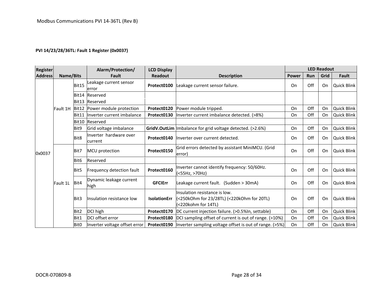#### **PVI 14/23/28/36TL: Fault 1 Register (0x0037)**

| <b>Register</b> |           |                  | Alarm/Protection/                 | <b>LCD Display</b>  |                                                                                                    |              |            | <b>LED Readout</b> |                    |
|-----------------|-----------|------------------|-----------------------------------|---------------------|----------------------------------------------------------------------------------------------------|--------------|------------|--------------------|--------------------|
| <b>Address</b>  | Name/Bits |                  | Fault                             | <b>Readout</b>      | <b>Description</b>                                                                                 | <b>Power</b> | <b>Run</b> | Grid               | Fault              |
|                 |           | Bit15            | eakage current sensor<br>error    | Protect0100         | Leakage current sensor failure.                                                                    | On           | Off        | On                 | Quick Blink        |
|                 |           | Bit14            | Reserved                          |                     |                                                                                                    |              |            |                    |                    |
|                 |           | Bit13            | Reserved                          |                     |                                                                                                    |              |            |                    |                    |
|                 | Fault 1H  | Bit12            | Power module protection           | Protect0120         | Power module tripped.                                                                              | On           | Off        | On                 | <b>Quick Blink</b> |
|                 |           | Bit11            | Inverter current imbalance        | Protect0130         | Inverter current imbalance detected. (>8%)                                                         | On           | Off        | On                 | <b>Quick Blink</b> |
|                 |           | Bit10            | Reserved                          |                     |                                                                                                    |              |            |                    |                    |
| 0x0037          |           | Bit9             | Grid voltage imbalance            |                     | GridV.OutLim Imbalance for grid voltage detected. (>2.6%)                                          | On           | Off        | On                 | Quick Blink        |
|                 |           | Bit8             | Inverter hardware over<br>current | Protect0140         | Inverter over current detected.                                                                    | On           | Off        | On                 | <b>Quick Blink</b> |
|                 |           | Bit7             | MCU protection                    | Protect0150         | Grid errors detected by assistant MiniMCU. (Grid<br>lerror)                                        | On           | Off        | On                 | <b>Quick Blink</b> |
|                 |           | Bit <sub>6</sub> | Reserved                          |                     |                                                                                                    |              |            |                    |                    |
|                 |           | Bit5             | Frequency detection fault         | Protect0160         | Inverter cannot identify frequency: 50/60Hz.<br>(<55Hz, >70Hz)                                     | On           | Off        | On                 | Quick Blink        |
|                 | Fault 1L  | Bit4             | Dynamic leakage current<br>high   | <b>GFCIErr</b>      | Leakage current fault. (Sudden > 30mA)                                                             | On           | Off        | On                 | <b>Quick Blink</b> |
|                 |           | Bit3             | Insulation resistance low         | <b>IsolationErr</b> | Insulation resistance is low.<br>(<250kOhm for 23/28TL) (<220kOhm for 20TL)<br>(<220kohm for 14TL) | On           | Off        | On                 | <b>Quick Blink</b> |
|                 |           | Bit2             | DCI high                          | Protect0170         | DC current injection failure. (>0.5%In, settable)                                                  | On           | Off        | On                 | Quick Blink        |
|                 |           | Bit1             | DCI offset error                  | Protect0180         | DCI sampling offset of current is out of range. (>10%)                                             | On           | Off        | On                 | Quick Blink        |
|                 |           | <b>BitO</b>      | Inverter voltage offset error     | Protect0190         | Inverter sampling voltage offset is out of range. (>5%)                                            | On           | Off        | On                 | Quick Blink        |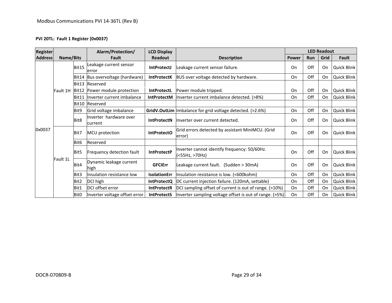#### **PVI 20TL: Fault 1 Register (0x0037)**

| <b>Register</b> |                 |                  | Alarm/Protection/                 | <b>LCD Display</b> |                                                                |              |            | <b>LED Readout</b> |             |
|-----------------|-----------------|------------------|-----------------------------------|--------------------|----------------------------------------------------------------|--------------|------------|--------------------|-------------|
| <b>Address</b>  | Name/Bits       |                  | Fault                             | <b>Readout</b>     | <b>Description</b>                                             | <b>Power</b> | <b>Run</b> | Grid               | Fault       |
|                 |                 | Bit15            | Leakage current sensor<br>error   | <b>IntProtectJ</b> | Leakage current sensor failure.                                | On           | Off        | On                 | Quick Blink |
|                 |                 | Bit14            | Bus overvoltage (hardware)        | <b>IntProtectK</b> | BUS over voltage detected by hardware.                         | On           | Off        | On                 | Quick Blink |
|                 |                 | Bit13            | Reserved                          |                    |                                                                |              |            |                    |             |
|                 | <b>Fault 1H</b> | Bit12            | Power module protection           | <b>IntProtectL</b> | Power module tripped.                                          | On           | Off        | On                 | Quick Blink |
|                 |                 | Bit11            | Inverter current imbalance        | <b>IntProtectM</b> | Inverter current imbalance detected. (>8%)                     | On           | Off        | On                 | Quick Blink |
|                 |                 | Bit10            | Reserved                          |                    |                                                                |              |            |                    |             |
|                 |                 | Bit9             | Grid voltage imbalance            |                    | GridV.OutLim Imbalance for grid voltage detected. (>2.6%)      | On           | Off        | On                 | Quick Blink |
|                 |                 | Bit8             | Inverter hardware over<br>current | <b>IntProtectN</b> | linverter over current detected.                               | On           | Off        | On                 | Quick Blink |
| 0x0037          |                 | Bit7             | MCU protection                    | <b>IntProtectO</b> | Grid errors detected by assistant MiniMCU. (Grid<br>lerror)    | On           | Off        | On                 | Quick Blink |
|                 |                 | Bit6             | Reserved                          |                    |                                                                |              |            |                    |             |
|                 |                 | Bit5             | Frequency detection fault         | <b>IntProtectP</b> | Inverter cannot identify frequency: 50/60Hz.<br>(<55Hz, >70Hz) | On           | Off        | On                 | Quick Blink |
|                 | Fault 1L        | Bit4             | Dynamic leakage current<br>high   | <b>GFCIErr</b>     | Leakage current fault. (Sudden > 30mA)                         | On           | Off        | On                 | Quick Blink |
|                 |                 | Bit3             | Insulation resistance low         | IsolationErr       | Insulation resistance is low. (<600kohm)                       | On           | Off        | On                 | Quick Blink |
|                 |                 | Bit2             | DCI high                          | <b>IntProtectQ</b> | DC current injection failure. (120mA, settable)                | On           | Off        | On                 | Quick Blink |
|                 |                 | Bit1             | DCI offset error                  | <b>IntProtectR</b> | DCI sampling offset of current is out of range. (>10%)         | On           | Off        | On                 | Quick Blink |
|                 |                 | Bit <sub>0</sub> | Inverter voltage offset error     | <b>IntProtectS</b> | Inverter sampling voltage offset is out of range. (>5%)        | On           | Off        | On                 | Quick Blink |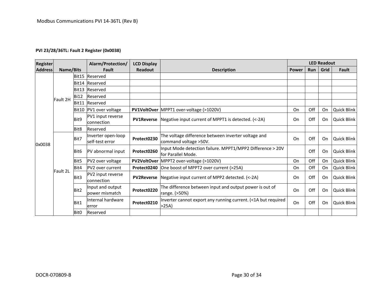### **PVI 23/28/36TL: Fault 2 Register (0x0038)**

| <b>Register</b> |           |                  | Alarm/Protection/                      | <b>LCD Display</b> |                                                                                 |              |            | <b>LED Readout</b> |                    |
|-----------------|-----------|------------------|----------------------------------------|--------------------|---------------------------------------------------------------------------------|--------------|------------|--------------------|--------------------|
| <b>Address</b>  | Name/Bits |                  | Fault                                  | <b>Readout</b>     | <b>Description</b>                                                              | <b>Power</b> | <b>Run</b> | Grid               | Fault              |
|                 |           |                  | Bit15 Reserved                         |                    |                                                                                 |              |            |                    |                    |
|                 |           |                  | Bit14 Reserved                         |                    |                                                                                 |              |            |                    |                    |
|                 |           |                  | Bit13 Reserved                         |                    |                                                                                 |              |            |                    |                    |
|                 | Fault 2H  | <b>Bi12</b>      | Reserved                               |                    |                                                                                 |              |            |                    |                    |
|                 |           |                  | Bit11 Reserved                         |                    |                                                                                 |              |            |                    |                    |
| 0x0038          |           |                  | Bit10 PV1 over voltage                 |                    | PV1VoltOver MPPT1 over-voltage (>1020V)                                         | On           | Off        | On                 | Quick Blink        |
|                 |           | Bit9             | PV1 input reverse<br><b>connection</b> |                    | <b>PV1Reverse</b> Negative input current of MPPT1 is detected. (<-2A)           | On           | Off        | On                 | Quick Blink        |
|                 |           | Bit8             | Reserved                               |                    |                                                                                 |              |            |                    |                    |
|                 |           | Bit7             | Inverter open-loop<br>self-test error  | Protect0230        | The voltage difference between inverter voltage and<br>command voltage > 50V.   | On           | Off        | On                 | Quick Blink        |
|                 |           | Bit <sub>6</sub> | PV abnormal input                      | Protect0260        | Input Mode detection failure. MPPT1/MPP2 Difference > 20V<br>for Parallel Mode. |              | Off        | On                 | Quick Blink        |
|                 |           | Bit <sub>5</sub> | PV2 over voltage                       |                    | PV2VoltOver MPPT2 over-voltage (>1020V)                                         | On           | Off        | On                 | Quick Blink        |
|                 | Fault 2L  | Bit4             | <b>PV2</b> over current                |                    | Protect0240 One boost of MPPT2 over current (>25A)                              | On           | Off        | On                 | Quick Blink        |
|                 |           | Bit3             | PV2 input reverse<br><b>connection</b> | <b>PV2Reverse</b>  | Negative input current of MPP2 detected. (<-2A)                                 | On           | Off        | On                 | Quick Blink        |
|                 |           | Bit <sub>2</sub> | Input and output<br>power mismatch     | Protect0220        | The difference between input and output power is out of<br>range. (>50%)        | On           | Off        | On                 | <b>Quick Blink</b> |
|                 |           | Bit1             | Internal hardware<br>error             | Protect0210        | Inverter cannot export any running current. (<1A but required<br>>25A           | On           | Off        | On                 | Quick Blink        |
|                 |           | Bit0             | Reserved                               |                    |                                                                                 |              |            |                    |                    |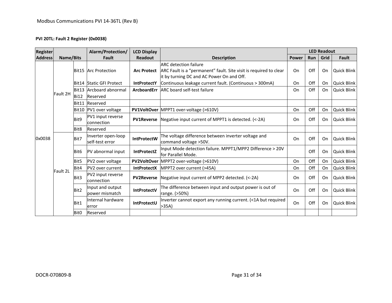#### **PVI 20TL: Fault 2 Register (0x0038)**

| <b>Register</b> |           |                  | Alarm/Protection/                     | <b>LCD Display</b> |                                                                                                                                                | <b>LED Readout</b> |            |      |                    |
|-----------------|-----------|------------------|---------------------------------------|--------------------|------------------------------------------------------------------------------------------------------------------------------------------------|--------------------|------------|------|--------------------|
| <b>Address</b>  | Name/Bits |                  | Fault                                 | <b>Readout</b>     | <b>Description</b>                                                                                                                             | <b>Power</b>       | <b>Run</b> | Grid | Fault              |
|                 | Fault 2H  |                  | Bit15 Arc Protection                  | <b>Arc Protect</b> | <b>ARC</b> detection failure<br>ARC Fault is a "permanent" fault. Site visit is required to clear<br>it by turning DC and AC Power On and Off. | On                 | Off        | On   | <b>Quick Blink</b> |
|                 |           |                  | Bit14 Static GFI Protect              | <b>IntProtectY</b> | Continuous leakage current fault. (Continuous > 300mA)                                                                                         | On                 | Off        | On   | Quick Blink        |
|                 |           |                  | Bit13 Arcboard abnormal               |                    | ArcboardErr ARC board self-test failure                                                                                                        | On                 | Off        | On   | Quick Blink        |
|                 |           | <b>Bi12</b>      | Reserved                              |                    |                                                                                                                                                |                    |            |      |                    |
|                 |           |                  | Bit11 Reserved                        |                    |                                                                                                                                                |                    |            |      |                    |
|                 |           | Bit10            | PV1 over voltage                      |                    | PV1VoltOver MPPT1 over-voltage (>610V)                                                                                                         | On                 | Off        | On   | Quick Blink        |
|                 |           | Bit9             | PV1 input reverse<br>connection       |                    | <b>PV1Reverse</b> Negative input current of MPPT1 is detected. (<-2A)                                                                          | On                 | Off        | On   | <b>Quick Blink</b> |
|                 |           | Bit <sub>8</sub> | Reserved                              |                    |                                                                                                                                                |                    |            |      |                    |
| 0x0038          | Fault 2L  | Bit7             | Inverter open-loop<br>self-test error | <b>IntProtectW</b> | The voltage difference between inverter voltage and<br>command voltage > 50V.                                                                  | On                 | Off        | On   | <b>Quick Blink</b> |
|                 |           | Bit <sub>6</sub> | PV abnormal input                     | <b>IntProtectZ</b> | Input Mode detection failure. MPPT1/MPP2 Difference > 20V<br>for Parallel Mode.                                                                |                    | Off        | On   | Quick Blink        |
|                 |           | Bit5             | PV2 over voltage                      |                    | PV2VoltOver MPPT2 over-voltage (>610V)                                                                                                         | On                 | Off        | On   | Quick Blink        |
|                 |           | Bit4             | PV2 over current                      | <b>IntProtectX</b> | MPPT2 over current (>45A)                                                                                                                      | On                 | Off        | On   | Quick Blink        |
|                 |           | Bit3             | PV2 input reverse<br>connection       | <b>PV2Reverse</b>  | Negative input current of MPP2 detected. (<-2A)                                                                                                | On                 | Off        | On   | Quick Blink        |
|                 |           | Bit2             | Input and output<br>power mismatch    | <b>IntProtectV</b> | The difference between input and output power is out of<br>range. (>50%)                                                                       | On                 | Off        | On   | Quick Blink        |
|                 |           | Bit1             | Internal hardware<br>error            | <b>IntProtectU</b> | Inverter cannot export any running current. (<1A but required<br>>35A                                                                          | On                 | Off        | On   | Quick Blink        |
|                 |           | Bit0             | Reserved                              |                    |                                                                                                                                                |                    |            |      |                    |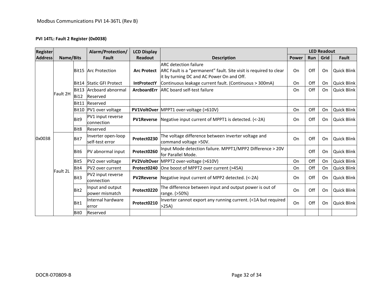#### **PVI 14TL: Fault 2 Register (0x0038)**

| <b>Register</b> |                                                                                                                                                                                                                                                                                                                                                                                                                                                                                                                                                                                                                                                                                                                      |             | Alarm/Protection/<br><b>LCD Display</b> |                    |                                                                                                                                                |              | <b>LED Readout</b> |      |                    |  |
|-----------------|----------------------------------------------------------------------------------------------------------------------------------------------------------------------------------------------------------------------------------------------------------------------------------------------------------------------------------------------------------------------------------------------------------------------------------------------------------------------------------------------------------------------------------------------------------------------------------------------------------------------------------------------------------------------------------------------------------------------|-------------|-----------------------------------------|--------------------|------------------------------------------------------------------------------------------------------------------------------------------------|--------------|--------------------|------|--------------------|--|
| <b>Address</b>  | Name/Bits                                                                                                                                                                                                                                                                                                                                                                                                                                                                                                                                                                                                                                                                                                            |             | Fault                                   | <b>Readout</b>     | <b>Description</b>                                                                                                                             | <b>Power</b> | Run                | Grid | Fault              |  |
|                 |                                                                                                                                                                                                                                                                                                                                                                                                                                                                                                                                                                                                                                                                                                                      |             | Bit15 Arc Protection                    | <b>Arc Protect</b> | <b>ARC</b> detection failure<br>ARC Fault is a "permanent" fault. Site visit is required to clear<br>it by turning DC and AC Power On and Off. | On           | Off                | On   | <b>Quick Blink</b> |  |
|                 |                                                                                                                                                                                                                                                                                                                                                                                                                                                                                                                                                                                                                                                                                                                      |             | Bit14 Static GFI Protect                | <b>IntProtectY</b> | Continuous leakage current fault. (Continuous > 300mA)                                                                                         | On           | Off                | On   | Quick Blink        |  |
|                 |                                                                                                                                                                                                                                                                                                                                                                                                                                                                                                                                                                                                                                                                                                                      |             | Bit13 Arcboard abnormal                 |                    | ArcboardErr ARC board self-test failure                                                                                                        | On           | Off                | On   | Quick Blink        |  |
|                 | Fault 2H                                                                                                                                                                                                                                                                                                                                                                                                                                                                                                                                                                                                                                                                                                             | <b>Bi12</b> | Reserved                                |                    |                                                                                                                                                |              |                    |      |                    |  |
|                 |                                                                                                                                                                                                                                                                                                                                                                                                                                                                                                                                                                                                                                                                                                                      |             | Bit11 Reserved                          |                    |                                                                                                                                                |              |                    |      |                    |  |
|                 |                                                                                                                                                                                                                                                                                                                                                                                                                                                                                                                                                                                                                                                                                                                      | Bit10       | PV1 over voltage                        |                    | PV1VoltOver MPPT1 over-voltage (>610V)                                                                                                         | On           | Off                | On   | Quick Blink        |  |
|                 |                                                                                                                                                                                                                                                                                                                                                                                                                                                                                                                                                                                                                                                                                                                      | Bit9        | PV1 input reverse<br><b>connection</b>  | <b>PV1Reverse</b>  | Negative input current of MPPT1 is detected. (<-2A)                                                                                            | On           | Off                | On   | <b>Quick Blink</b> |  |
|                 |                                                                                                                                                                                                                                                                                                                                                                                                                                                                                                                                                                                                                                                                                                                      |             |                                         |                    |                                                                                                                                                |              |                    |      |                    |  |
| 0x0038          | Bit <sub>8</sub><br>Reserved<br>Inverter open-loop<br>The voltage difference between inverter voltage and<br>Protect0230<br>Bit7<br>self-test error<br>command voltage > 50V.<br>PV abnormal input<br>Protect0260<br>Bit <sub>6</sub><br>lfor Parallel Mode.<br>PV2VoltOver MPPT2 over-voltage (>610V)<br>Bit <sub>5</sub><br>PV2 over voltage<br>One boost of MPPT2 over current (>45A)<br><b>PV2</b> over current<br>Protect0240<br>Bit4<br>Fault 2L<br>PV2 input reverse<br>Bit3<br>Negative input current of MPP2 detected. (<-2A)<br><b>PV2Reverse</b><br>connection<br>Input and output<br>Protect0220<br>Bit2<br>power mismatch<br>range. (>50%)<br>Internal hardware<br>Bit1<br>Protect0210<br>>25A<br>error |             |                                         |                    |                                                                                                                                                | On           | Off                | On   | <b>Quick Blink</b> |  |
|                 |                                                                                                                                                                                                                                                                                                                                                                                                                                                                                                                                                                                                                                                                                                                      |             |                                         |                    | Input Mode detection failure. MPPT1/MPP2 Difference > 20V                                                                                      |              | Off                | On   | Quick Blink        |  |
|                 |                                                                                                                                                                                                                                                                                                                                                                                                                                                                                                                                                                                                                                                                                                                      |             | On                                      | Off                | On                                                                                                                                             | Quick Blink  |                    |      |                    |  |
|                 |                                                                                                                                                                                                                                                                                                                                                                                                                                                                                                                                                                                                                                                                                                                      |             |                                         |                    |                                                                                                                                                | On           | Off                | On   | Quick Blink        |  |
|                 |                                                                                                                                                                                                                                                                                                                                                                                                                                                                                                                                                                                                                                                                                                                      |             |                                         |                    |                                                                                                                                                | On           | Off                | On   | <b>Quick Blink</b> |  |
|                 |                                                                                                                                                                                                                                                                                                                                                                                                                                                                                                                                                                                                                                                                                                                      |             |                                         |                    | The difference between input and output power is out of                                                                                        | On           | Off                | On   | <b>Quick Blink</b> |  |
|                 |                                                                                                                                                                                                                                                                                                                                                                                                                                                                                                                                                                                                                                                                                                                      |             |                                         |                    | Inverter cannot export any running current. (<1A but required                                                                                  | On           | Off                | On   | <b>Quick Blink</b> |  |
|                 |                                                                                                                                                                                                                                                                                                                                                                                                                                                                                                                                                                                                                                                                                                                      | Bit0        | Reserved                                |                    |                                                                                                                                                |              |                    |      |                    |  |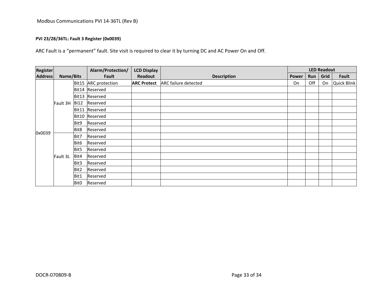#### **PVI 23/28/36TL: Fault 3 Register (0x0039)**

ARC Fault is a "permanent" fault. Site visit is required to clear it by turning DC and AC Power On and Off.

| <b>Register</b> |                  |                  | Alarm/Protection/    | <b>LCD Display</b> |                             | <b>LED Readout</b> |     |      |                    |
|-----------------|------------------|------------------|----------------------|--------------------|-----------------------------|--------------------|-----|------|--------------------|
| <b>Address</b>  | <b>Name/Bits</b> |                  | Fault                | Readout            | <b>Description</b>          | <b>Power</b>       | Run | Grid | Fault              |
|                 | Fault 3H         |                  | Bit15 ARC protection | <b>ARC Protect</b> | <b>ARC failure detected</b> | On                 | Off | On   | <b>Quick Blink</b> |
|                 |                  |                  | Bit14 Reserved       |                    |                             |                    |     |      |                    |
|                 |                  |                  | Bit13 Reserved       |                    |                             |                    |     |      |                    |
|                 |                  | <b>Bi12</b>      | Reserved             |                    |                             |                    |     |      |                    |
|                 |                  |                  | Bit11 Reserved       |                    |                             |                    |     |      |                    |
|                 |                  |                  | Bit10 Reserved       |                    |                             |                    |     |      |                    |
|                 |                  | Bit9             | Reserved             |                    |                             |                    |     |      |                    |
|                 |                  | Bit8             | Reserved             |                    |                             |                    |     |      |                    |
| 0x0039          |                  | Bit7             | Reserved             |                    |                             |                    |     |      |                    |
|                 |                  | Bit <sub>6</sub> | Reserved             |                    |                             |                    |     |      |                    |
|                 |                  | Bit5             | Reserved             |                    |                             |                    |     |      |                    |
|                 | Fault 3L         | Bit4             | Reserved             |                    |                             |                    |     |      |                    |
|                 |                  | Bit3             | Reserved             |                    |                             |                    |     |      |                    |
|                 |                  | Bit2             | Reserved             |                    |                             |                    |     |      |                    |
|                 |                  | Bit1             | Reserved             |                    |                             |                    |     |      |                    |
|                 |                  | Bit0             | Reserved             |                    |                             |                    |     |      |                    |